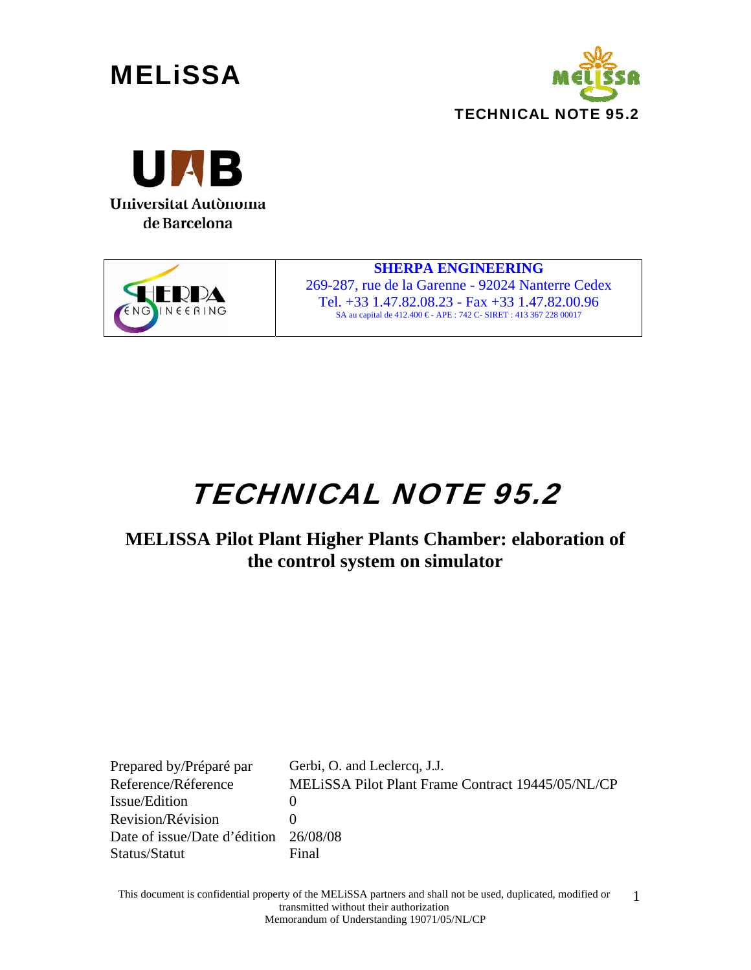







**SHERPA ENGINEERING**  269-287, rue de la Garenne - 92024 Nanterre Cedex Tel. +33 1.47.82.08.23 - Fax +33 1.47.82.00.96 SA au capital de 412.400 € - APE : 742 C- SIRET : 413 367 228 00017

# TECHNICAL NOTE 95.2

### **MELISSA Pilot Plant Higher Plants Chamber: elaboration of the control system on simulator**

Prepared by/Préparé par Gerbi, O. and Leclercq, J.J. Reference/Réference MELiSSA Pilot Plant Frame Contract 19445/05/NL/CP Issue/Edition 0 Revision/Révision 0 Date of issue/Date d'édition 26/08/08 Status/Statut Final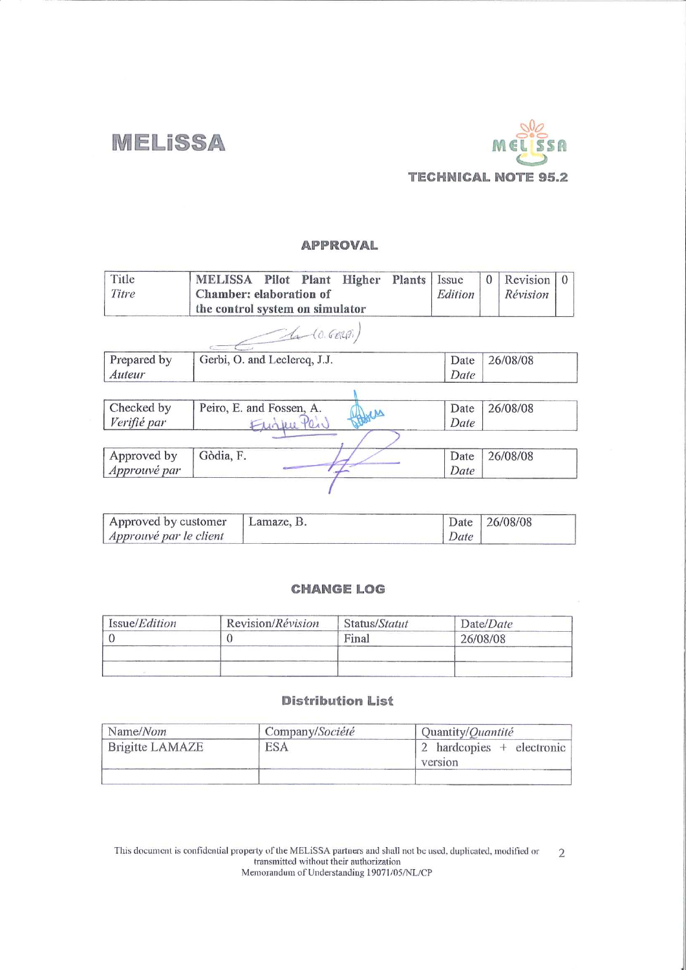**MELISSA** 



#### **APPROVAL**

| Title<br>Titre | <b>MELISSA</b><br>Pilot Plant<br>Plants<br>Higher<br>Chamber: elaboration of | Issue<br>Edition | Revision<br>$\Omega$<br>$\Omega$<br>Révision |
|----------------|------------------------------------------------------------------------------|------------------|----------------------------------------------|
|                | the control system on simulator                                              |                  |                                              |
|                | 10.600)                                                                      |                  |                                              |
| Prepared by    | Gerbi, O. and Leclercq, J.J.                                                 | Date             | 26/08/08                                     |
| Auteur         |                                                                              | Date             |                                              |
|                |                                                                              |                  |                                              |
| Checked by     | Peiro, E. and Fossen, A.<br>MM                                               | Date             | 26/08/08                                     |
| Verifié par    |                                                                              | Date             |                                              |
|                |                                                                              |                  |                                              |
| Approved by    | Gòdia, F.                                                                    | Date             | 26/08/08                                     |
|                |                                                                              | Date             |                                              |
| Approuvé par   |                                                                              |                  |                                              |

| Approved by customer   | Lamaze, B. |      | Date 26/08/08 |
|------------------------|------------|------|---------------|
| Approuvé par le client |            | Date |               |

#### **CHANGE LOG**

| Issue/Edition | Revision/Révision | Status/Statut | Date/Date |
|---------------|-------------------|---------------|-----------|
|               |                   | Final         | 26/08/08  |
|               |                   |               |           |
|               |                   |               |           |

#### **Distribution List**

| Name/Nom        | Company/Société | Quantity/Quantité                  |
|-----------------|-----------------|------------------------------------|
| Brigitte LAMAZE | ESA             | hardcopies + electronic<br>version |
|                 |                 |                                    |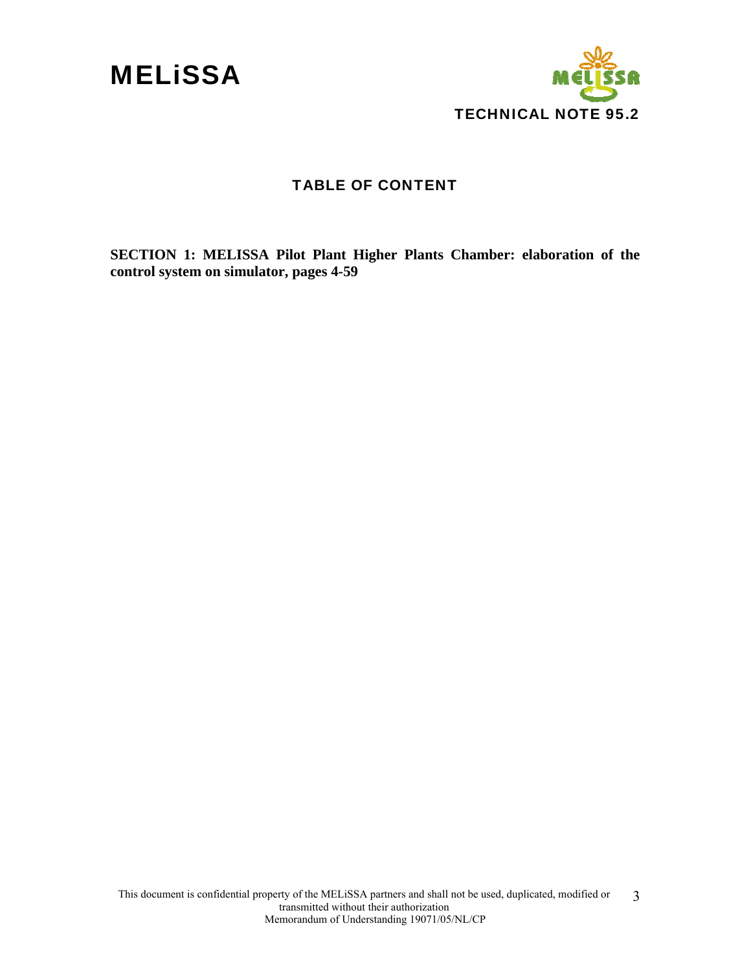



#### TABLE OF CONTENT

**SECTION 1: MELISSA Pilot Plant Higher Plants Chamber: elaboration of the control system on simulator, pages 4-59**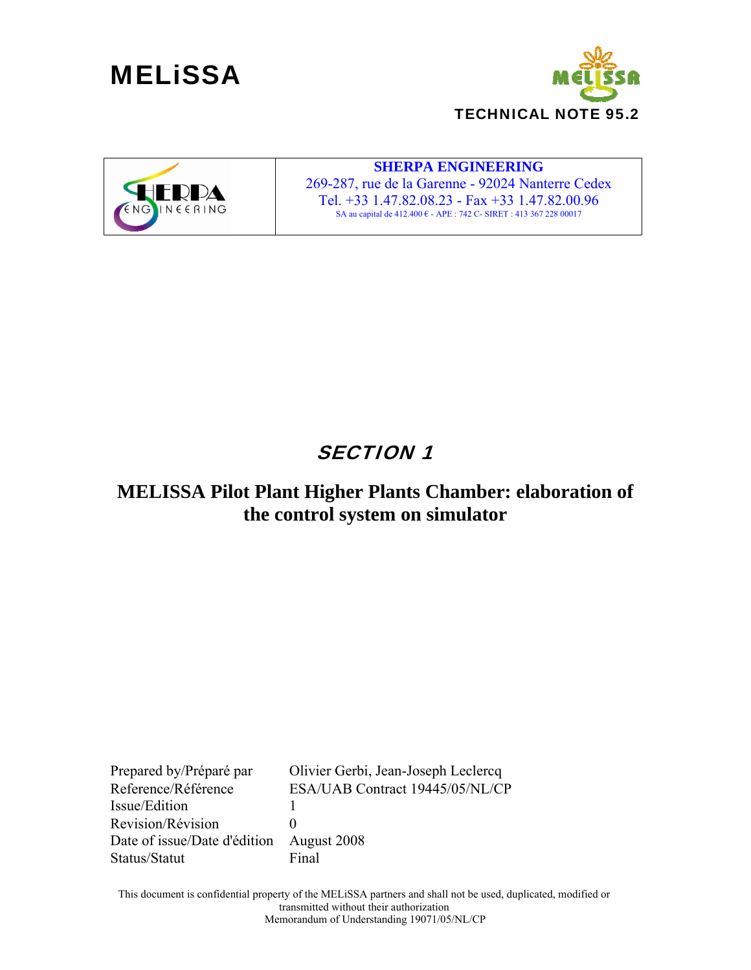





#### **SHERPA ENGINEERING**

269-287, rue de la Garenne - 92024 Nanterre Cedex Tel. +33 1.47.82.08.23 - Fax +33 1.47.82.00.96 SA au capital de 412.400 € - APE : 742 C- SIRET : 413 367 228 00017

### SECTION 1

### **MELISSA Pilot Plant Higher Plants Chamber: elaboration of the control system on simulator**

Prepared by/Préparé par Olivier Gerbi, Jean-Joseph Leclercq Reference/Référence ESA/UAB Contract 19445/05/NL/CP Issue/Edition 1 Revision/Révision 0 Date of issue/Date d'édition August 2008 Status/Statut Final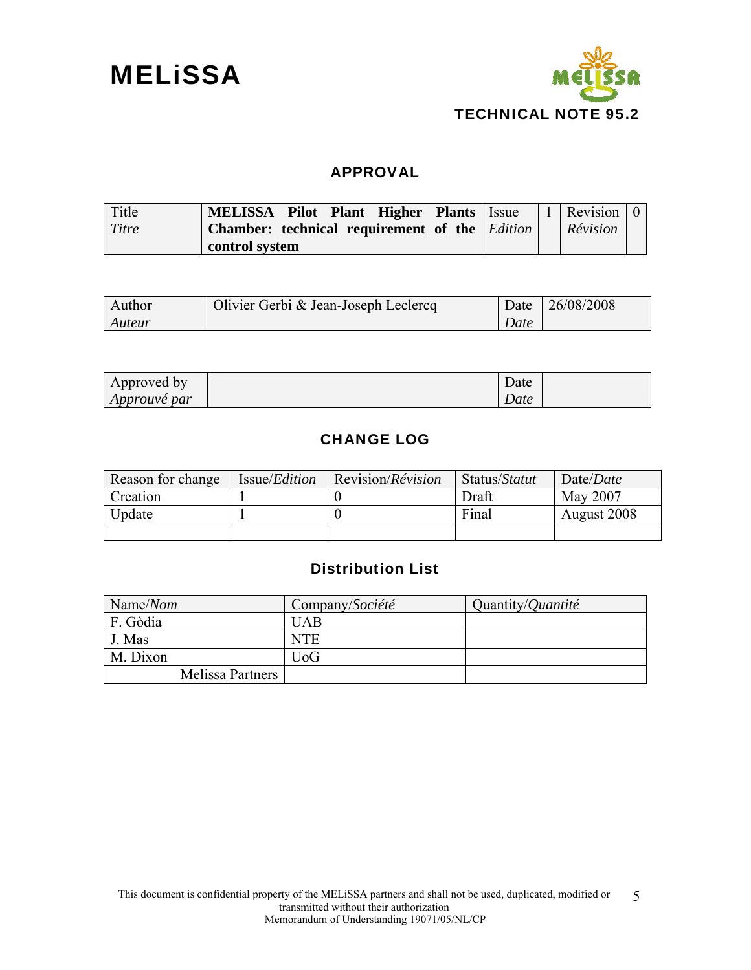



#### APPROVAL

| Title | MELISSA Pilot Plant Higher Plants   Issue                   |  | 1   Revision   0 |  |
|-------|-------------------------------------------------------------|--|------------------|--|
| Titre | <b>Chamber:</b> technical requirement of the <i>Edition</i> |  | Révision         |  |
|       | control system                                              |  |                  |  |

| Author | Olivier Gerbi & Jean-Joseph Leclercq | Date | 126/08/2008 |
|--------|--------------------------------------|------|-------------|
| Auteur |                                      | Date |             |

| Approved by         | Date      |  |
|---------------------|-----------|--|
| <i>Approuve par</i> | ⌒<br>Date |  |

#### CHANGE LOG

| Reason for change | Issue/ <i>Edition</i> | Revision/ <i>Révision</i> | Status/Statut | Date/ <i>Date</i> |
|-------------------|-----------------------|---------------------------|---------------|-------------------|
| Creation          |                       |                           | Draft         | May 2007          |
| Update            |                       |                           | Final         | August 2008       |
|                   |                       |                           |               |                   |

### Distribution List

| Name/ $N$ om     | Company/Société | Quantity/Quantité |
|------------------|-----------------|-------------------|
| F. Gòdia         | <b>UAB</b>      |                   |
| J. Mas           | <b>NTE</b>      |                   |
| M. Dixon         | UoG             |                   |
| Melissa Partners |                 |                   |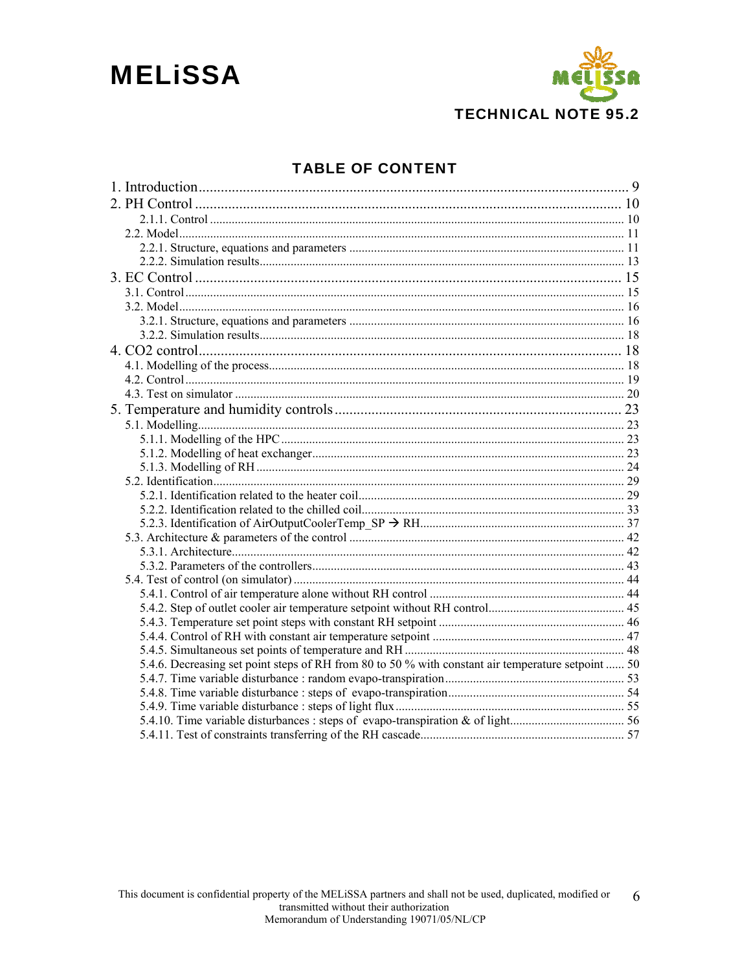## **MELISSA**



### **TABLE OF CONTENT**

| 5.4.6. Decreasing set point steps of RH from 80 to 50 % with constant air temperature setpoint  50 |  |
|----------------------------------------------------------------------------------------------------|--|
|                                                                                                    |  |
|                                                                                                    |  |
|                                                                                                    |  |
|                                                                                                    |  |
|                                                                                                    |  |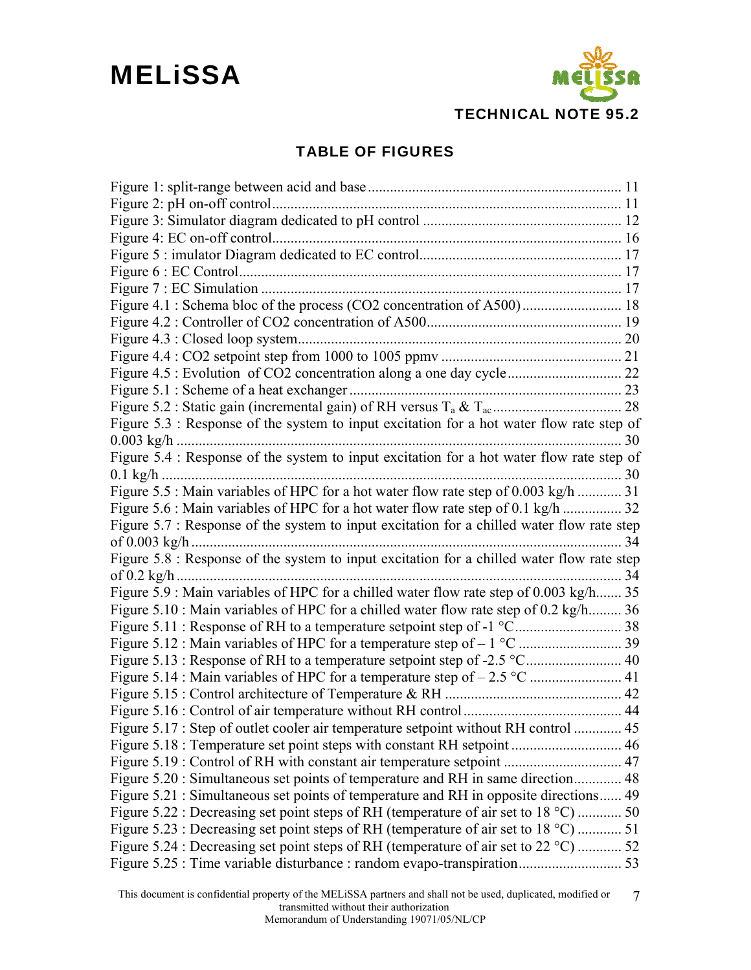

### TABLE OF FIGURES

| Figure 4.1 : Schema bloc of the process (CO2 concentration of A500) 18                     |  |
|--------------------------------------------------------------------------------------------|--|
|                                                                                            |  |
|                                                                                            |  |
|                                                                                            |  |
|                                                                                            |  |
|                                                                                            |  |
|                                                                                            |  |
| Figure 5.3 : Response of the system to input excitation for a hot water flow rate step of  |  |
|                                                                                            |  |
| Figure 5.4 : Response of the system to input excitation for a hot water flow rate step of  |  |
|                                                                                            |  |
| Figure 5.5 : Main variables of HPC for a hot water flow rate step of 0.003 kg/h  31        |  |
| Figure 5.6 : Main variables of HPC for a hot water flow rate step of 0.1 kg/h  32          |  |
| Figure 5.7 : Response of the system to input excitation for a chilled water flow rate step |  |
|                                                                                            |  |
| Figure 5.8 : Response of the system to input excitation for a chilled water flow rate step |  |
|                                                                                            |  |
| Figure 5.9 : Main variables of HPC for a chilled water flow rate step of 0.003 kg/h 35     |  |
| Figure 5.10 : Main variables of HPC for a chilled water flow rate step of 0.2 kg/h 36      |  |
|                                                                                            |  |
|                                                                                            |  |
|                                                                                            |  |
|                                                                                            |  |
|                                                                                            |  |
|                                                                                            |  |
| Figure 5.17 : Step of outlet cooler air temperature setpoint without RH control  45        |  |
|                                                                                            |  |
|                                                                                            |  |
| Figure 5.20 : Simultaneous set points of temperature and RH in same direction 48           |  |
| Figure 5.21 : Simultaneous set points of temperature and RH in opposite directions 49      |  |
| Figure 5.22 : Decreasing set point steps of RH (temperature of air set to 18 °C)  50       |  |
| Figure 5.23 : Decreasing set point steps of RH (temperature of air set to 18 °C)  51       |  |
| Figure 5.24 : Decreasing set point steps of RH (temperature of air set to 22 °C)  52       |  |
|                                                                                            |  |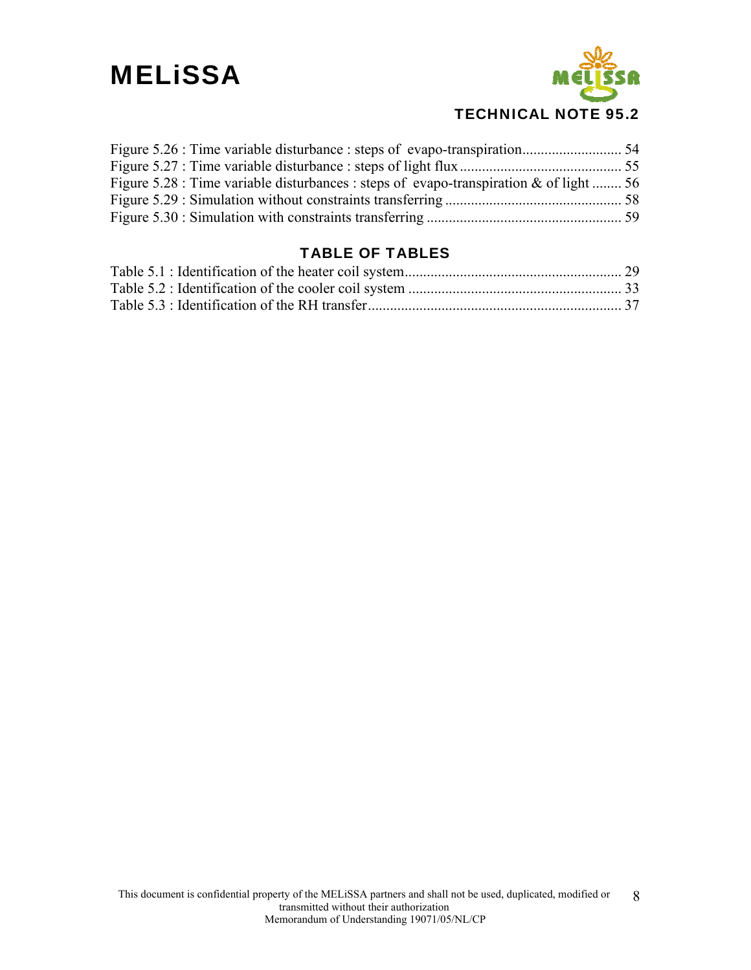

### TECHNICAL NOTE 95.2

| Figure 5.28 : Time variable disturbances : steps of evapo-transpiration & of light  56 |  |
|----------------------------------------------------------------------------------------|--|
|                                                                                        |  |
|                                                                                        |  |

### TABLE OF TABLES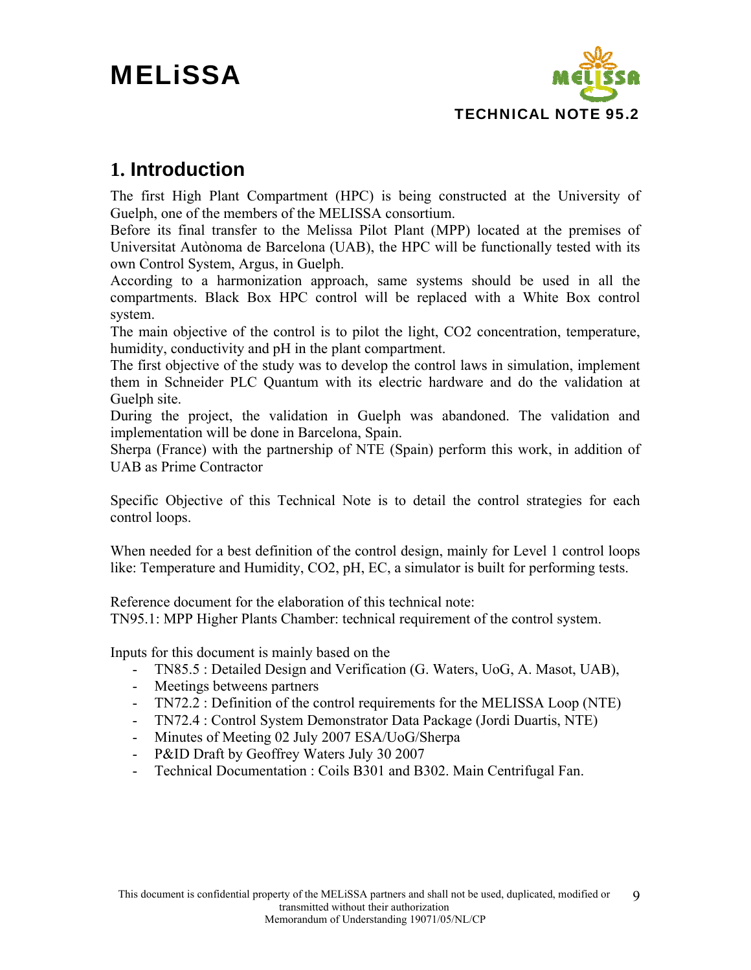

### **1. Introduction**

The first High Plant Compartment (HPC) is being constructed at the University of Guelph, one of the members of the MELISSA consortium.

Before its final transfer to the Melissa Pilot Plant (MPP) located at the premises of Universitat Autònoma de Barcelona (UAB), the HPC will be functionally tested with its own Control System, Argus, in Guelph.

According to a harmonization approach, same systems should be used in all the compartments. Black Box HPC control will be replaced with a White Box control system.

The main objective of the control is to pilot the light, CO2 concentration, temperature, humidity, conductivity and pH in the plant compartment.

The first objective of the study was to develop the control laws in simulation, implement them in Schneider PLC Quantum with its electric hardware and do the validation at Guelph site.

During the project, the validation in Guelph was abandoned. The validation and implementation will be done in Barcelona, Spain.

Sherpa (France) with the partnership of NTE (Spain) perform this work, in addition of UAB as Prime Contractor

Specific Objective of this Technical Note is to detail the control strategies for each control loops.

When needed for a best definition of the control design, mainly for Level 1 control loops like: Temperature and Humidity, CO2, pH, EC, a simulator is built for performing tests.

Reference document for the elaboration of this technical note:

TN95.1: MPP Higher Plants Chamber: technical requirement of the control system.

Inputs for this document is mainly based on the

- TN85.5 : Detailed Design and Verification (G. Waters, UoG, A. Masot, UAB),
- Meetings betweens partners
- TN72.2 : Definition of the control requirements for the MELISSA Loop (NTE)
- TN72.4 : Control System Demonstrator Data Package (Jordi Duartis, NTE)
- Minutes of Meeting 02 July 2007 ESA/UoG/Sherpa
- P&ID Draft by Geoffrey Waters July 30 2007
- Technical Documentation : Coils B301 and B302. Main Centrifugal Fan.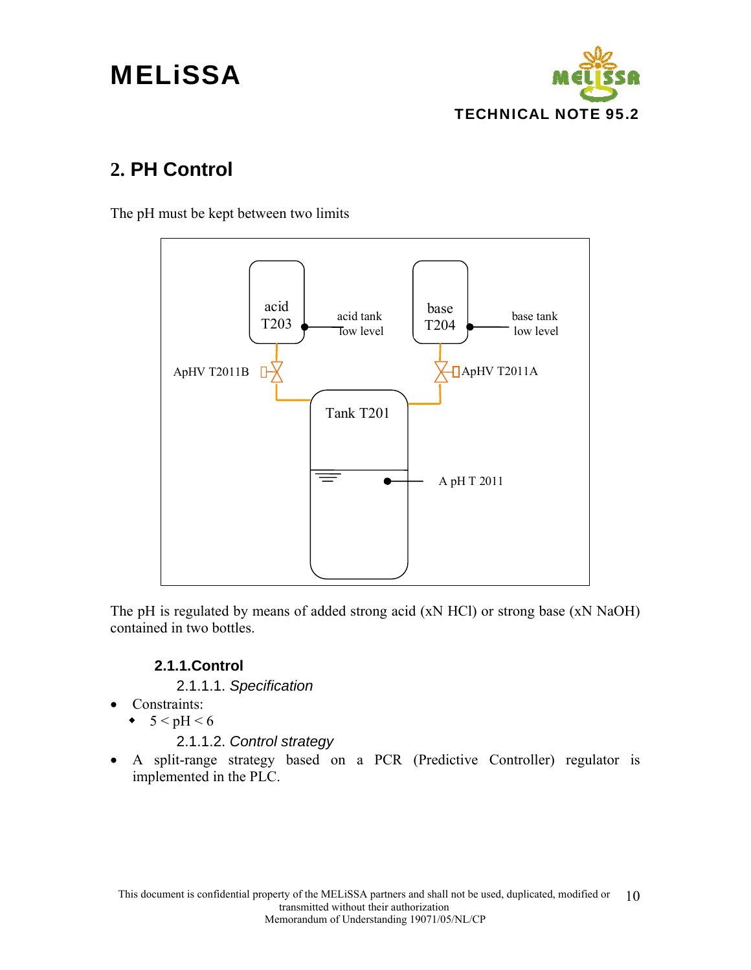# **MELISSA**



### **2. PH Control**

The pH must be kept between two limits



The pH is regulated by means of added strong acid (xN HCl) or strong base (xN NaOH) contained in two bottles.

### **2.1.1.Control**

- 2.1.1.1. *Specification*
- Constraints:
	- $\bullet$  5 < pH < 6
		- 2.1.1.2. *Control strategy*
- A split-range strategy based on a PCR (Predictive Controller) regulator is implemented in the PLC.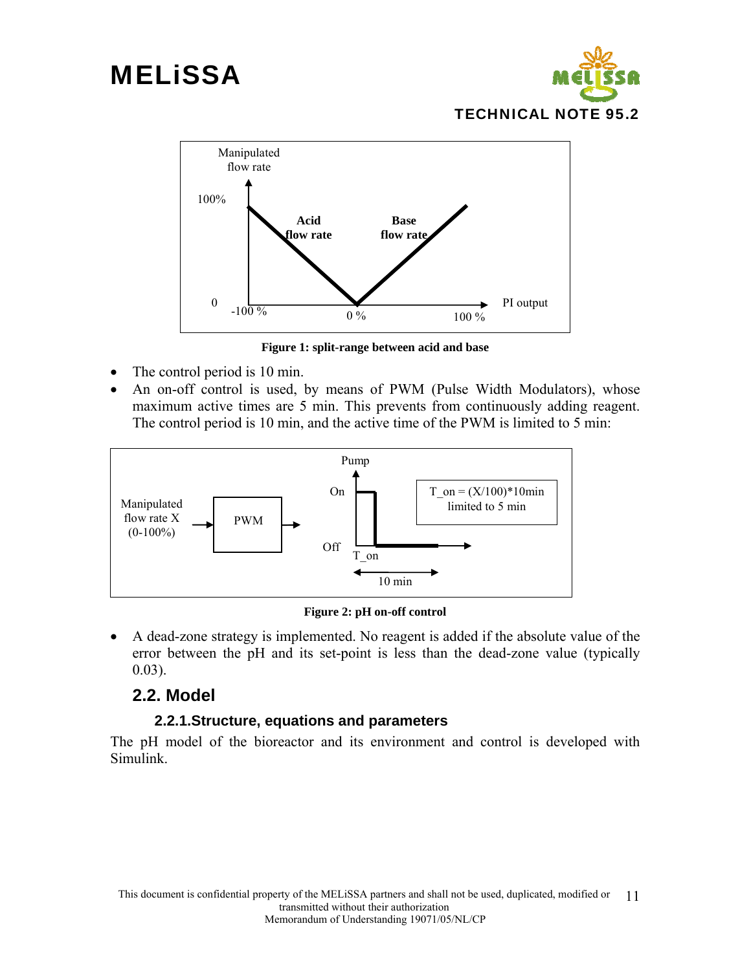



**Figure 1: split-range between acid and base** 

- The control period is 10 min.
- An on-off control is used, by means of PWM (Pulse Width Modulators), whose maximum active times are 5 min. This prevents from continuously adding reagent. The control period is 10 min, and the active time of the PWM is limited to 5 min:



**Figure 2: pH on-off control** 

• A dead-zone strategy is implemented. No reagent is added if the absolute value of the error between the pH and its set-point is less than the dead-zone value (typically 0.03).

### **2.2. Model**

### **2.2.1.Structure, equations and parameters**

The pH model of the bioreactor and its environment and control is developed with Simulink.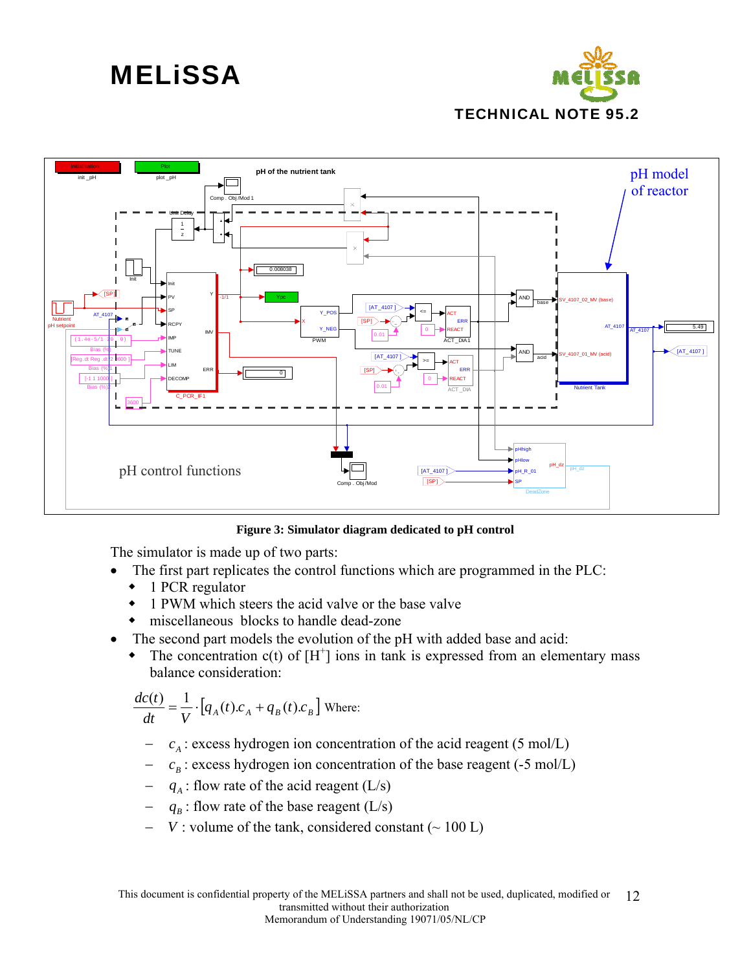



**Figure 3: Simulator diagram dedicated to pH control** 

The simulator is made up of two parts:

- The first part replicates the control functions which are programmed in the PLC:
	- 1 PCR regulator
	- 1 PWM which steers the acid valve or the base valve
	- miscellaneous blocks to handle dead-zone
- The second part models the evolution of the pH with added base and acid:
	- The concentration  $c(t)$  of  $[H^+]$  ions in tank is expressed from an elementary mass balance consideration:

$$
\frac{dc(t)}{dt} = \frac{1}{V} \cdot [q_A(t).c_A + q_B(t).c_B]
$$
 Where:

- $c_A$ : excess hydrogen ion concentration of the acid reagent (5 mol/L)
- $c_B$  : excess hydrogen ion concentration of the base reagent (-5 mol/L)
- $q_A$ : flow rate of the acid reagent (L/s)
- $q_B$ : flow rate of the base reagent (L/s)
- *V* : volume of the tank, considered constant ( $\sim 100$  L)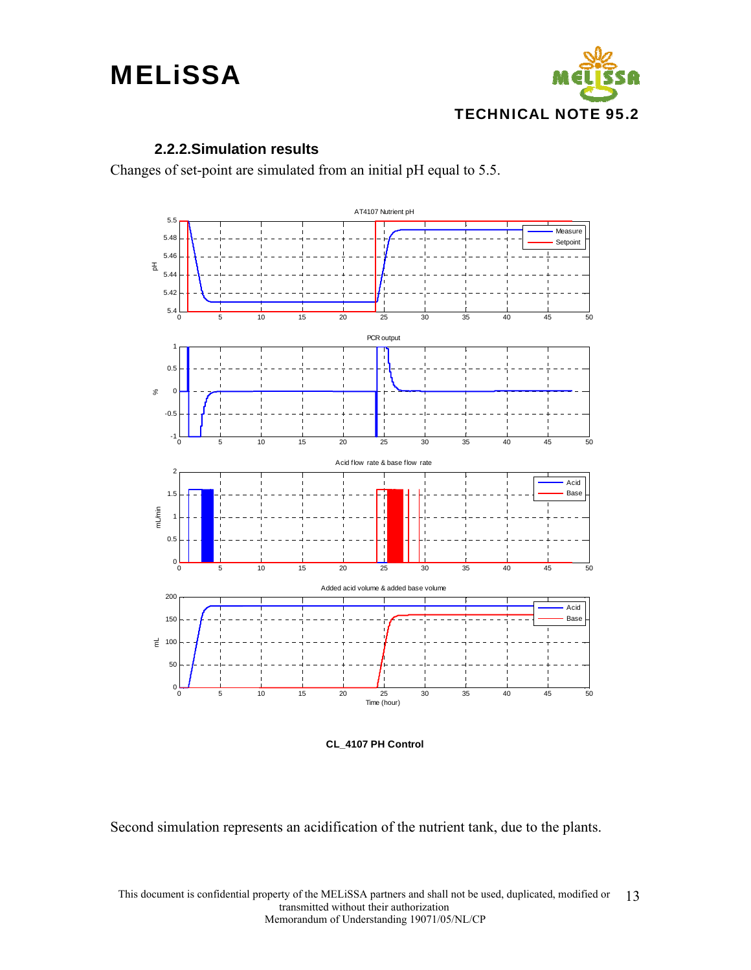

#### **2.2.2.Simulation results**

Changes of set-point are simulated from an initial pH equal to 5.5.



**CL\_4107 PH Control**

Second simulation represents an acidification of the nutrient tank, due to the plants.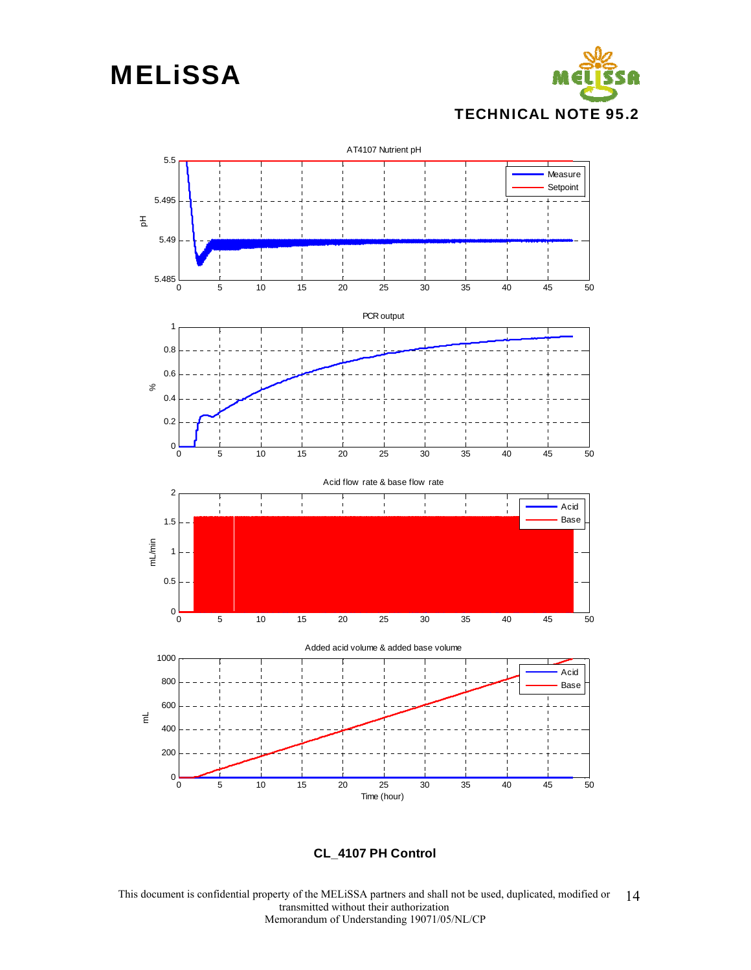



**CL\_4107 PH Control**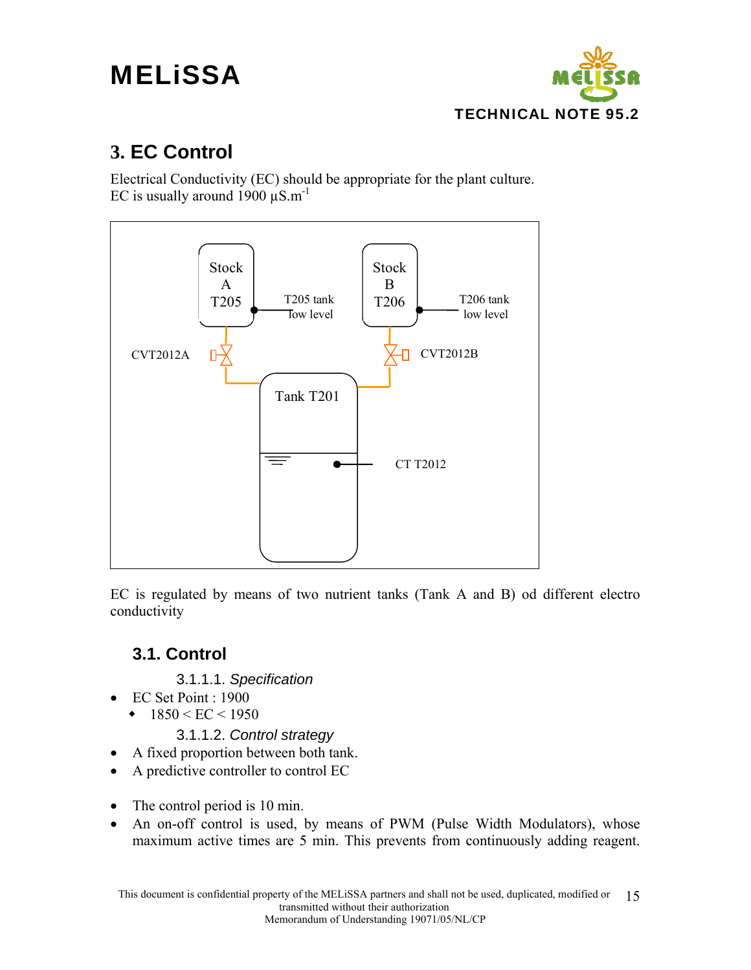

### **3. EC Control**

Electrical Conductivity (EC) should be appropriate for the plant culture. EC is usually around 1900  $\mu$ S.m<sup>-1</sup>



EC is regulated by means of two nutrient tanks (Tank A and B) od different electro conductivity

### **3.1. Control**

- 3.1.1.1. *Specification*
- EC Set Point : 1900
	- $\cdot$  1850 < EC < 1950
		- 3.1.1.2. *Control strategy*
- A fixed proportion between both tank.
- A predictive controller to control EC
- The control period is 10 min.
- An on-off control is used, by means of PWM (Pulse Width Modulators), whose maximum active times are 5 min. This prevents from continuously adding reagent.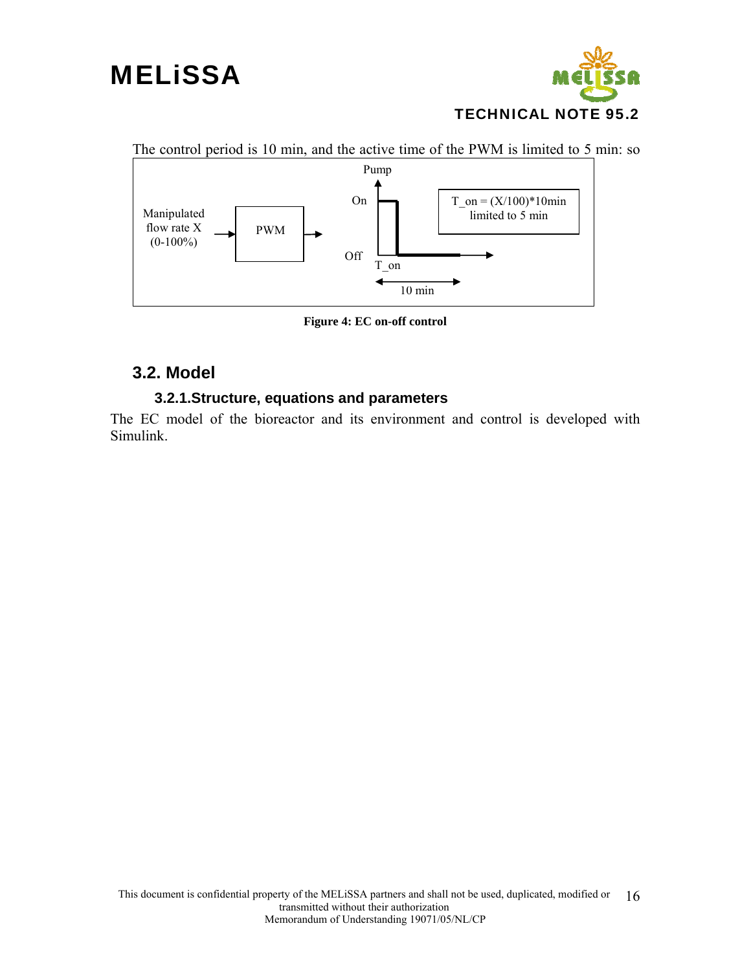## **MELISSA**





**Figure 4: EC on-off control** 

### **3.2. Model**

### **3.2.1.Structure, equations and parameters**

The EC model of the bioreactor and its environment and control is developed with Simulink.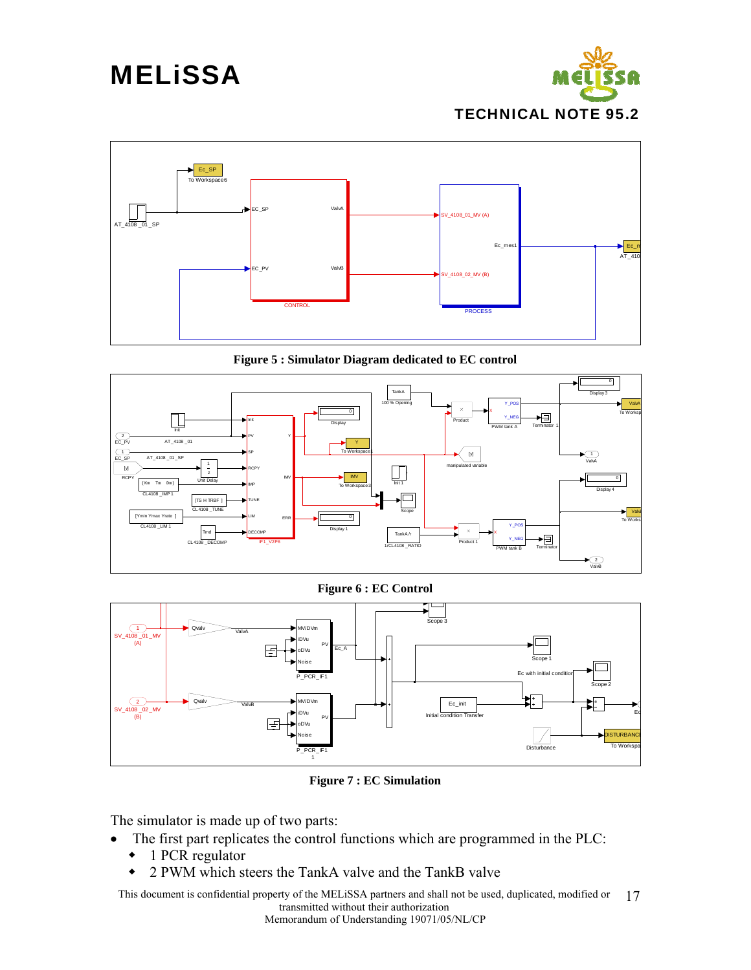



**Figure 5 : Simulator Diagram dedicated to EC control** 



**Figure 6 : EC Control** 



**Figure 7 : EC Simulation** 

The simulator is made up of two parts:

- The first part replicates the control functions which are programmed in the PLC:
	- ◆ 1 PCR regulator
	- 2 PWM which steers the TankA valve and the TankB valve

This document is confidential property of the MELiSSA partners and shall not be used, duplicated, modified or transmitted without their authorization 17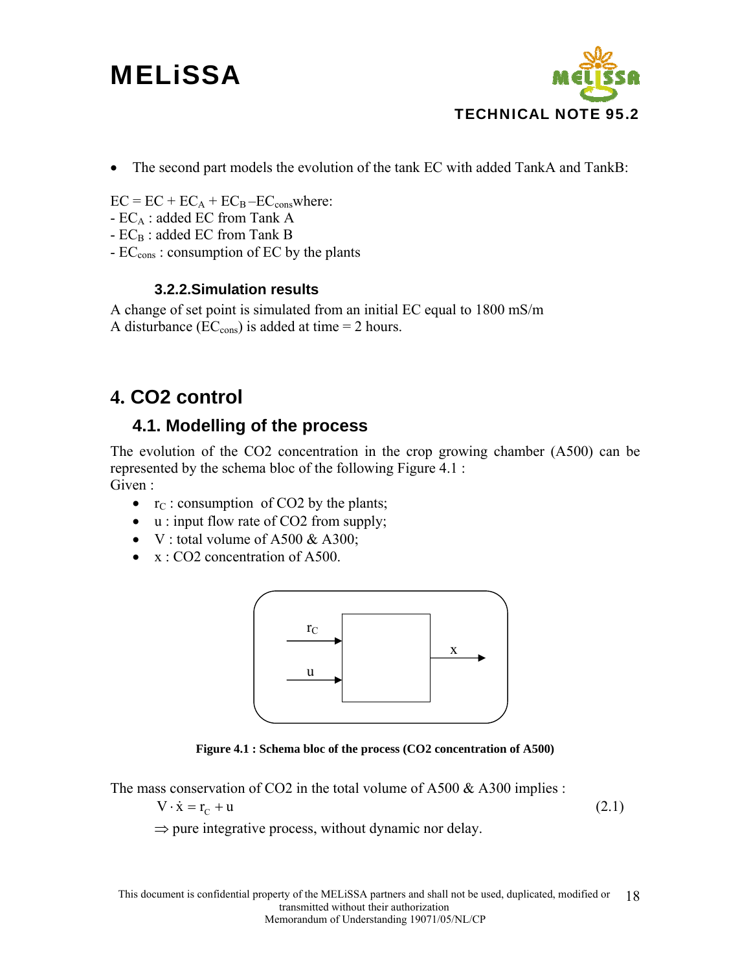

• The second part models the evolution of the tank EC with added TankA and TankB:

 $EC = EC + EC<sub>A</sub> + EC<sub>B</sub> - EC<sub>cons</sub>where:$ 

- $-EC_A$ : added EC from Tank A
- $-EC_B$ : added EC from Tank B
- EC<sub>cons</sub>: consumption of EC by the plants

### **3.2.2.Simulation results**

A change of set point is simulated from an initial EC equal to 1800 mS/m A disturbance ( $EC_{\text{cons}}$ ) is added at time = 2 hours.

### **4. CO2 control**

### **4.1. Modelling of the process**

The evolution of the CO2 concentration in the crop growing chamber (A500) can be represented by the schema bloc of the following Figure 4.1 : Given :

- $r_{\rm C}$ : consumption of CO2 by the plants;
- u : input flow rate of CO2 from supply;
- V : total volume of A500  $\&$  A300;
- x : CO2 concentration of A500.



**Figure 4.1 : Schema bloc of the process (CO2 concentration of A500)** 

The mass conservation of CO2 in the total volume of A500  $\&$  A300 implies :

$$
V \cdot \dot{x} = r_c + u \tag{2.1}
$$

 $\Rightarrow$  pure integrative process, without dynamic nor delay.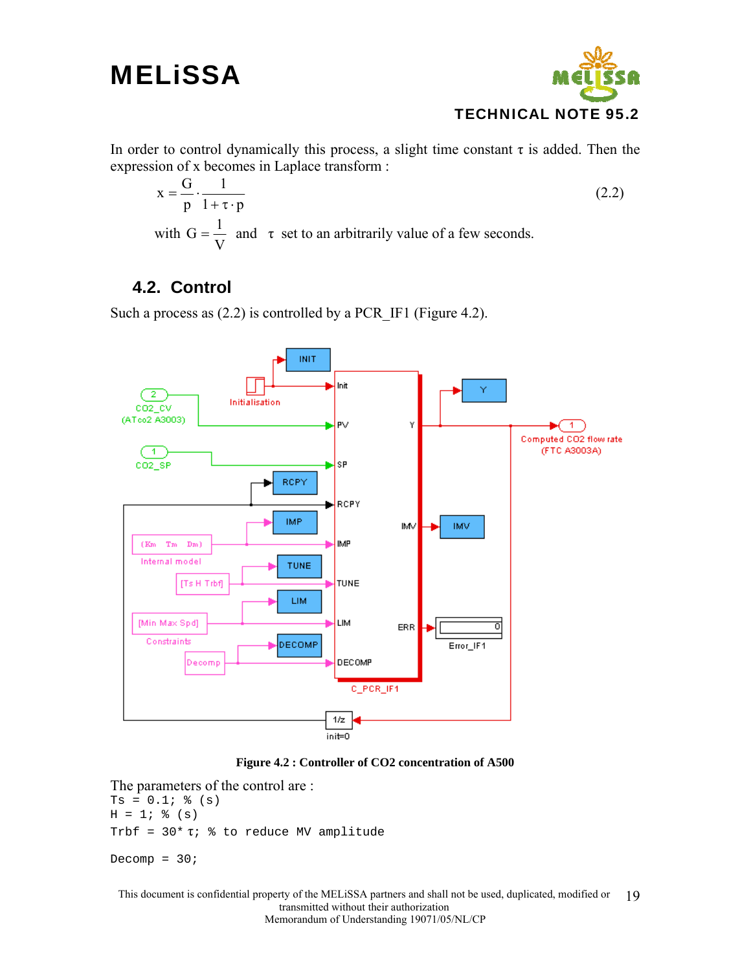

In order to control dynamically this process, a slight time constant  $\tau$  is added. Then the expression of x becomes in Laplace transform :

$$
x = \frac{G}{p} \cdot \frac{1}{1 + \tau \cdot p}
$$
  
with  $G = \frac{1}{V}$  and  $\tau$  set to an arbitrarily value of a few seconds. (2.2)

### **4.2. Control**

Such a process as (2.2) is controlled by a PCR\_IF1 (Figure 4.2).





The parameters of the control are :  $Ts = 0.1; %$  (s)  $H = 1;$  % (s) Trbf = 30\* τ; % to reduce MV amplitude Decomp =  $30i$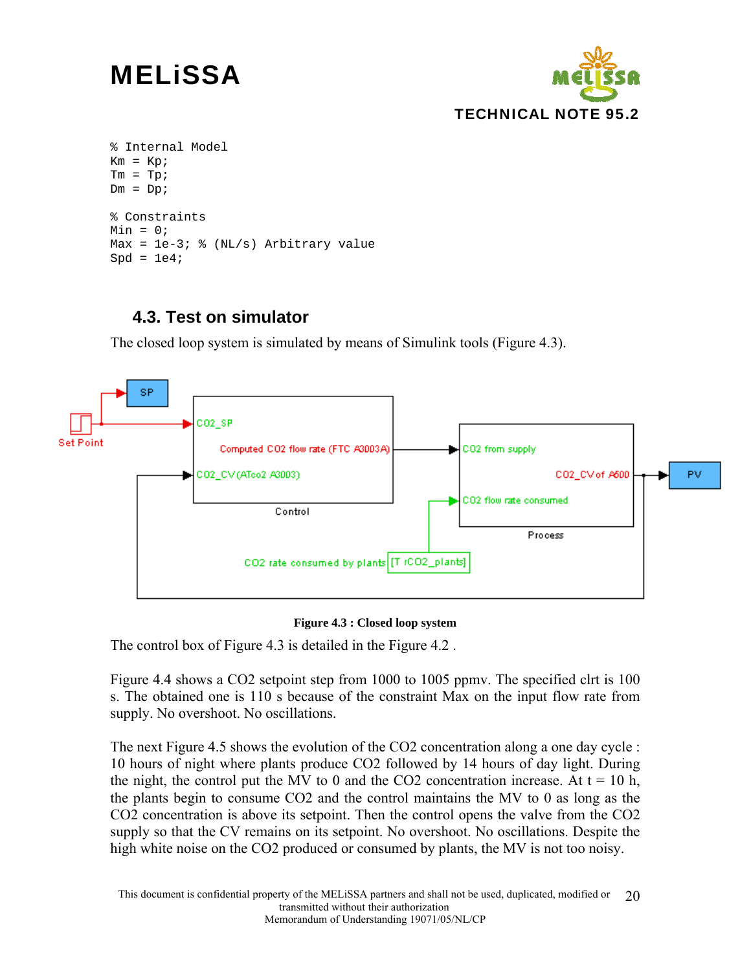

```
% Internal Model 
Km = Kp;Tm = Tp;
Dm = Dp;
% Constraints 
Min = 0;Max = le-3; % (NL/s) Arbitrary value
Spd = 1e4;
```
### **4.3. Test on simulator**

The closed loop system is simulated by means of Simulink tools (Figure 4.3).



#### **Figure 4.3 : Closed loop system**

The control box of Figure 4.3 is detailed in the Figure 4.2 .

Figure 4.4 shows a CO2 setpoint step from 1000 to 1005 ppmv. The specified clrt is 100 s. The obtained one is 110 s because of the constraint Max on the input flow rate from supply. No overshoot. No oscillations.

The next Figure 4.5 shows the evolution of the CO2 concentration along a one day cycle : 10 hours of night where plants produce CO2 followed by 14 hours of day light. During the night, the control put the MV to 0 and the CO2 concentration increase. At  $t = 10$  h, the plants begin to consume CO2 and the control maintains the MV to 0 as long as the CO2 concentration is above its setpoint. Then the control opens the valve from the CO2 supply so that the CV remains on its setpoint. No overshoot. No oscillations. Despite the high white noise on the CO2 produced or consumed by plants, the MV is not too noisy.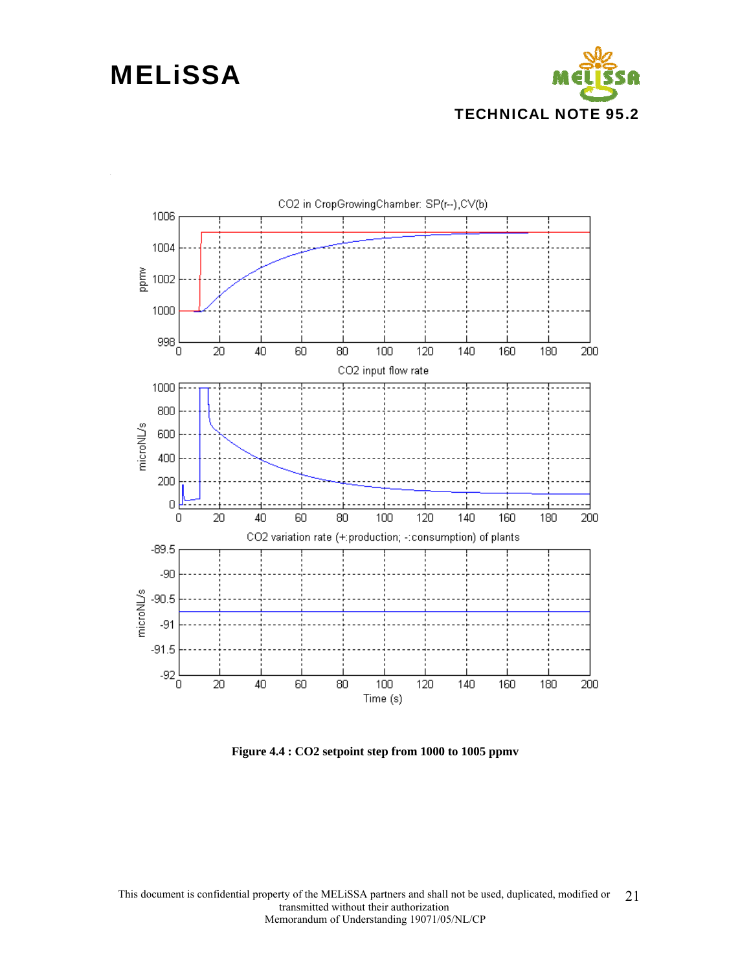



**Figure 4.4 : CO2 setpoint step from 1000 to 1005 ppmv**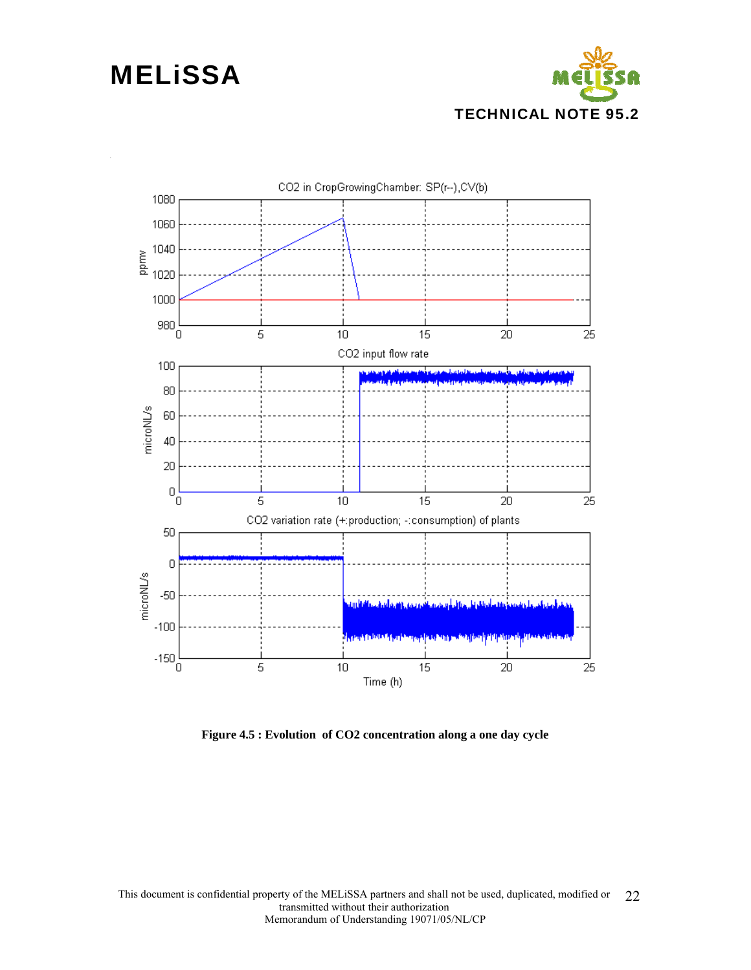



**Figure 4.5 : Evolution of CO2 concentration along a one day cycle**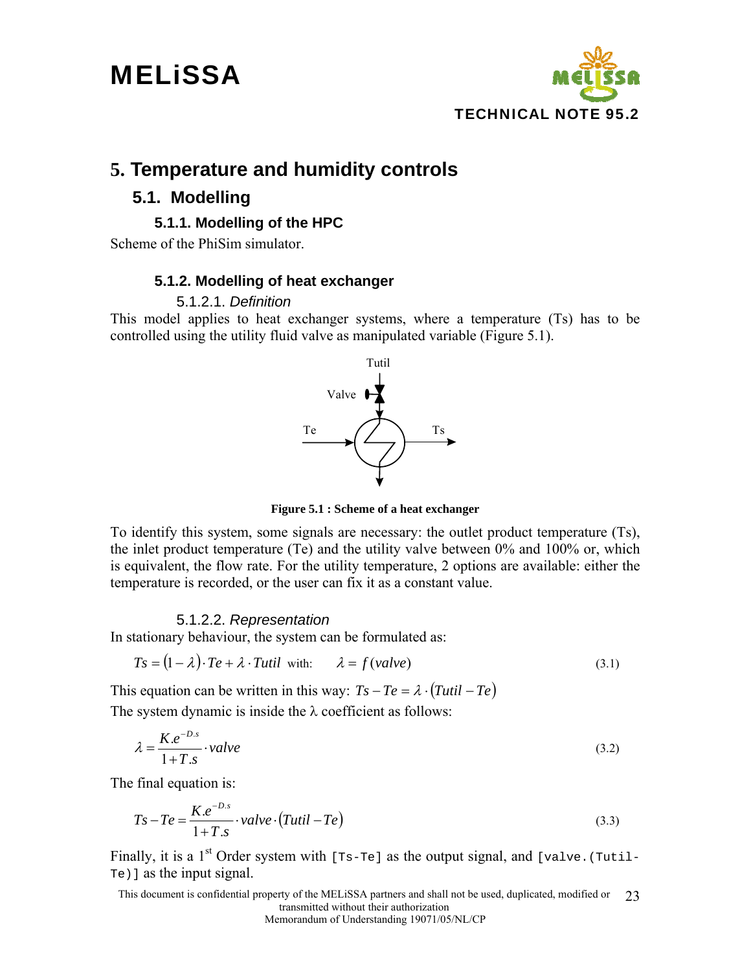

### **5. Temperature and humidity controls**

### **5.1. Modelling**

#### **5.1.1. Modelling of the HPC**

Scheme of the PhiSim simulator.

#### **5.1.2. Modelling of heat exchanger**

#### 5.1.2.1. *Definition*

This model applies to heat exchanger systems, where a temperature (Ts) has to be controlled using the utility fluid valve as manipulated variable (Figure 5.1).



**Figure 5.1 : Scheme of a heat exchanger** 

To identify this system, some signals are necessary: the outlet product temperature (Ts), the inlet product temperature (Te) and the utility valve between 0% and 100% or, which is equivalent, the flow rate. For the utility temperature, 2 options are available: either the temperature is recorded, or the user can fix it as a constant value.

#### 5.1.2.2. *Representation*

In stationary behaviour, the system can be formulated as:

$$
Ts = (1 - \lambda) \cdot Te + \lambda \cdot Tutil \quad \text{with:} \qquad \lambda = f(\text{value}) \tag{3.1}
$$

This equation can be written in this way:  $Ts - Te = \lambda \cdot (Tutil - Te)$ The system dynamic is inside the  $\lambda$  coefficient as follows:

$$
\lambda = \frac{K.e^{-D.s}}{1+T.s} \cdot value \tag{3.2}
$$

The final equation is:

$$
Ts - Te = \frac{K.e^{-D.s}}{1 + T.s} \cdot value \cdot (Tutil - Te)
$$
\n(3.3)

Finally, it is a 1<sup>st</sup> Order system with [Ts-Te] as the output signal, and [valve.(Tutil-Te)] as the input signal.

This document is confidential property of the MELiSSA partners and shall not be used, duplicated, modified or transmitted without their authorization 23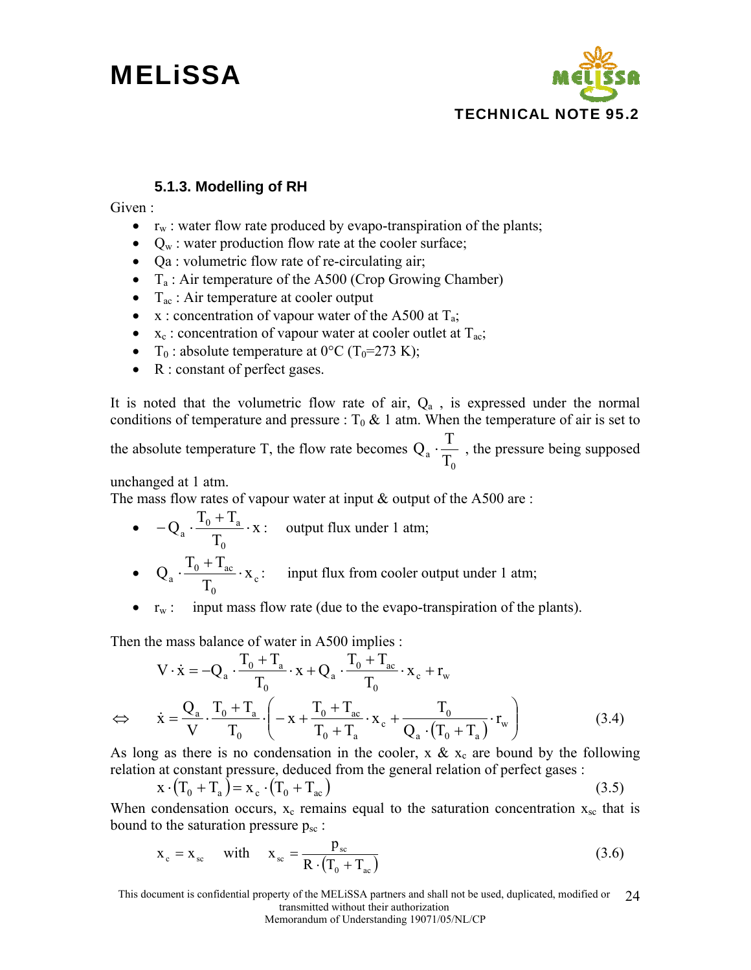

#### **5.1.3. Modelling of RH**

Given :

- $r_w$ : water flow rate produced by evapo-transpiration of the plants;
- $Q_w$ : water production flow rate at the cooler surface;
- Qa : volumetric flow rate of re-circulating air;
- $T_a$ : Air temperature of the A500 (Crop Growing Chamber)
- $T_{ac}$ : Air temperature at cooler output
- $x$ : concentration of vapour water of the A500 at  $T_a$ ;
- $x_c$ : concentration of vapour water at cooler outlet at  $T_{ac}$ ;
- T<sub>0</sub>: absolute temperature at  $0^{\circ}$ C (T<sub>0</sub>=273 K);
- R : constant of perfect gases.

It is noted that the volumetric flow rate of air,  $Q_a$ , is expressed under the normal conditions of temperature and pressure :  $T_0 \& 1$  atm. When the temperature of air is set to

the absolute temperature T, the flow rate becomes  $\overline{a}$   $\overline{T_0}$  $Q_{a} \cdot \frac{T}{T}$ , the pressure being supposed

unchanged at 1 atm.

The mass flow rates of vapour water at input  $\&$  output of the A500 are :

- $\bullet$   $-Q_a \cdot \frac{10^{11} \cdot 1a}{\pi} \cdot X$ T  $Q_{\rm a} \cdot \frac{T_0 + T_1}{T_0}$ 0  $-Q_a \cdot \frac{T_0 + T_a}{T} \cdot x$ : output flux under 1 atm;  $\bullet$  Q<sub>a</sub>  $\cdot \frac{10 + 1 \text{ac}}{T} \cdot X_c$  $a \cdot \frac{1_0 + 1_{ac}}{T_0} \cdot X$  $Q_a \cdot \frac{T_0 + T_{ac}}{T} \cdot x_c$ : input flux from cooler output under 1 atm;
- $r_w$ : input mass flow rate (due to the evapo-transpiration of the plants).

Then the mass balance of water in A500 implies :

0

$$
\nabla \cdot \dot{\mathbf{x}} = -Q_a \cdot \frac{T_0 + T_a}{T_0} \cdot \mathbf{x} + Q_a \cdot \frac{T_0 + T_{ac}}{T_0} \cdot \mathbf{x}_c + r_w
$$
  
\n
$$
\Leftrightarrow \dot{\mathbf{x}} = \frac{Q_a}{V} \cdot \frac{T_0 + T_a}{T_0} \cdot \left( -\mathbf{x} + \frac{T_0 + T_{ac}}{T_0 + T_a} \cdot \mathbf{x}_c + \frac{T_0}{Q_a \cdot (T_0 + T_a)} \cdot r_w \right)
$$
(3.4)

As long as there is no condensation in the cooler,  $x \& x_c$  are bound by the following relation at constant pressure, deduced from the general relation of perfect gases :

$$
\mathbf{x} \cdot (\mathbf{T}_0 + \mathbf{T}_a) = \mathbf{x}_c \cdot (\mathbf{T}_0 + \mathbf{T}_{ac}) \tag{3.5}
$$

When condensation occurs,  $x_c$  remains equal to the saturation concentration  $x_{sc}$  that is bound to the saturation pressure  $p_{sc}$ :

$$
x_c = x_{sc} \quad \text{with} \quad x_{sc} = \frac{p_{sc}}{R \cdot (T_0 + T_{ac})} \tag{3.6}
$$

This document is confidential property of the MELiSSA partners and shall not be used, duplicated, modified or transmitted without their authorization 24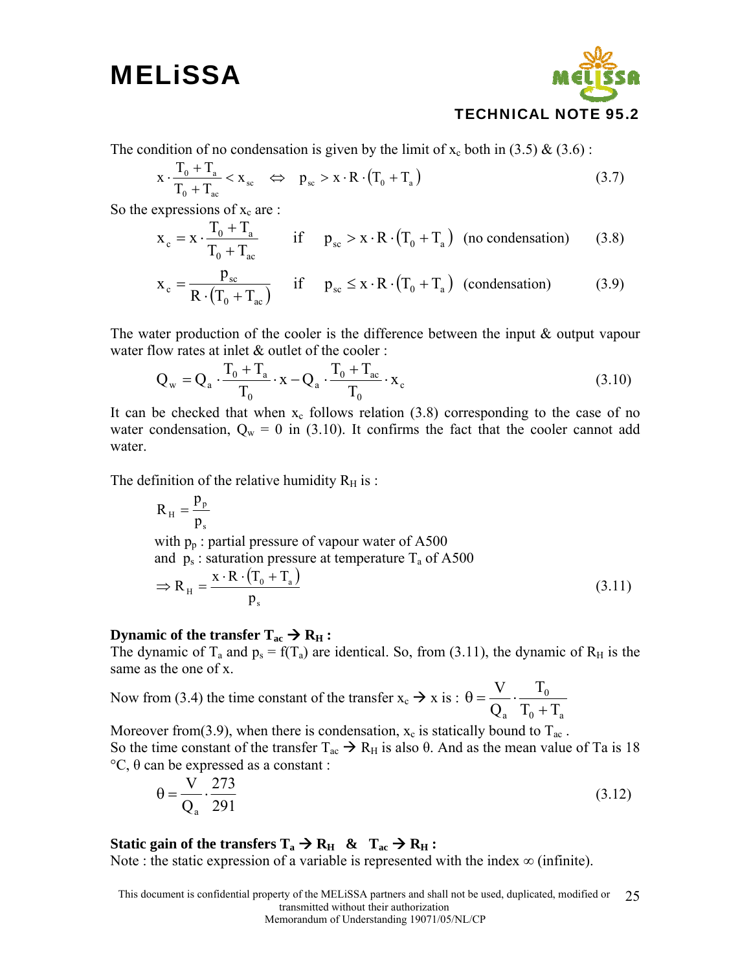

The condition of no condensation is given by the limit of  $x_c$  both in (3.5) & (3.6):

$$
x \cdot \frac{T_0 + T_a}{T_0 + T_{ac}} < x_{sc} \quad \Leftrightarrow \quad p_{sc} > x \cdot R \cdot (T_0 + T_a) \tag{3.7}
$$

So the expressions of  $x_c$  are :

$$
x_c = x \cdot \frac{T_0 + T_a}{T_0 + T_{ac}} \qquad \text{if} \qquad p_{sc} > x \cdot R \cdot (T_0 + T_a) \quad \text{(no condensation)} \tag{3.8}
$$

$$
x_c = \frac{p_{sc}}{R \cdot (T_0 + T_{ac})}
$$
 if  $p_{sc} \le x \cdot R \cdot (T_0 + T_a)$  (condensation) (3.9)

The water production of the cooler is the difference between the input & output vapour water flow rates at inlet & outlet of the cooler :

$$
Q_w = Q_a \cdot \frac{T_0 + T_a}{T_0} \cdot x - Q_a \cdot \frac{T_0 + T_{ac}}{T_0} \cdot x_c
$$
\n(3.10)

It can be checked that when  $x_c$  follows relation (3.8) corresponding to the case of no water condensation,  $Q_w = 0$  in (3.10). It confirms the fact that the cooler cannot add water.

The definition of the relative humidity  $R_H$  is :

$$
R_{\rm H} = \frac{p_{\rm p}}{p_{\rm s}}
$$
  
with  $p_{\rm p}$ : partial pressure of vapour water of A500  
and  $p_{\rm s}$ : saturation pressure at temperature T<sub>a</sub> of A500  

$$
\Rightarrow R_{\rm H} = \frac{x \cdot R \cdot (T_0 + T_a)}{p_{\rm s}}
$$
(3.11)

#### **Dynamic of the transfer**  $T_{ac} \rightarrow R_H$ **:**

The dynamic of T<sub>a</sub> and  $p_s = f(T_a)$  are identical. So, from (3.11), the dynamic of R<sub>H</sub> is the same as the one of x.

Now from (3.4) the time constant of the transfer  $x_c \rightarrow x$  is :  $_0$  +  $_{a}$ 0  $T_0 + T_1$ T Q V +  $\theta = \frac{V}{\cos \theta} \cdot \frac{1}{\sin \theta}$ 

Moreover from(3.9), when there is condensation,  $x_c$  is statically bound to  $T_{ac}$ .

So the time constant of the transfer  $T_{ac} \rightarrow R_H$  is also θ. And as the mean value of Ta is 18 °C, θ can be expressed as a constant :

$$
\theta = \frac{V}{Q_a} \cdot \frac{273}{291} \tag{3.12}
$$

#### **Static gain of the transfers**  $T_a \rightarrow R_H \& T_{ac} \rightarrow R_H$ **:**

Note : the static expression of a variable is represented with the index  $\infty$  (infinite).

This document is confidential property of the MELiSSA partners and shall not be used, duplicated, modified or transmitted without their authorization 25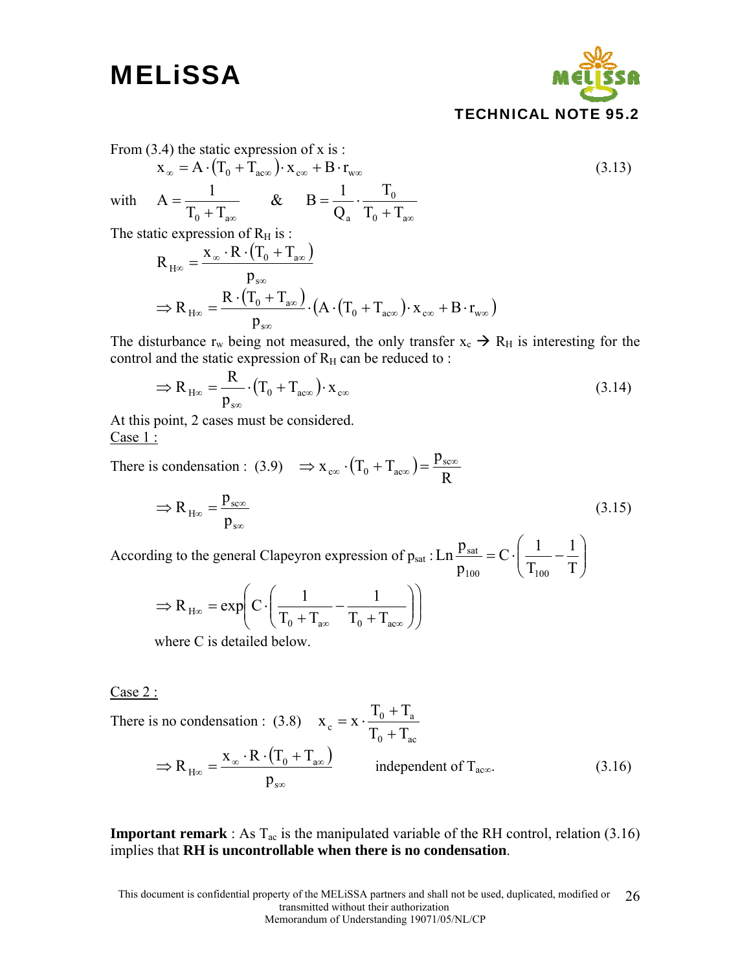

From  $(3.4)$  the static expression of x is :

$$
x_{\infty} = A \cdot (T_0 + T_{ac\infty}) \cdot x_{c\infty} + B \cdot r_{w\infty}
$$
  
\nwith 
$$
A = \frac{1}{T_0 + T_{ac\infty}} \& B = \frac{1}{Q_a} \cdot \frac{T_0}{T_0 + T_{ac\infty}}
$$
  
\nThe static expression of  $R_H$  is :  
\n
$$
R_{H\infty} = \frac{x_{\infty} \cdot R \cdot (T_0 + T_{ac\infty})}{T_0 + T_{ac\infty}}
$$
 (3.13)

$$
\kappa_{H\infty} = \frac{p_{\infty}}{p_{\infty}}
$$
  
\n
$$
\Rightarrow R_{H\infty} = \frac{R \cdot (T_0 + T_{\text{av}})}{p_{\text{so}}} \cdot (A \cdot (T_0 + T_{\text{av}}) \cdot x_{\text{co}} + B \cdot r_{\text{av}})
$$

The disturbance  $r_w$  being not measured, the only transfer  $x_c \rightarrow R_H$  is interesting for the control and the static expression of  $R_H$  can be reduced to :

$$
\Rightarrow R_{H\infty} = \frac{R}{p_{s\infty}} \cdot (T_0 + T_{a c\infty}) \cdot x_{c\infty}
$$
\n(3.14)

At this point, 2 cases must be considered. Case 1 :

There is condensation : (3.9)  $\Rightarrow$   $x_{\infty} \cdot (T_0 + T_{\text{acc}}) = \frac{P_{\text{sec}}}{R}$  $\Rightarrow$  x<sub>c∞</sub>  $\cdot$  (T<sub>0</sub> + T<sub>ac∞</sub>) =  $\frac{p_{sc\infty}}{P}$ 

$$
\Rightarrow R_{H\infty} = \frac{p_{\text{sc}}}{p_{\text{sc}}}
$$
\n(3.15)

According to the general Clapeyron expression of  $p_{sat}: Ln \frac{P_{sat}}{P} = C \cdot \left( \frac{1}{T} - \frac{1}{T} \right)$ ⎠ ⎞  $\parallel$  $= C \cdot \left( \frac{1}{T_{100}} - \frac{1}{T} \right)$ T  $C\cdot\left(\frac{1}{\pi}\right)$ p  $Ln^{\frac{p}{2}}$ 100 100 sat

$$
\Rightarrow R_{H\infty} = \exp\left(C \cdot \left(\frac{1}{T_0 + T_{a\infty}} - \frac{1}{T_0 + T_{a\infty}}\right)\right)
$$

where C is detailed below.

 $Case 2:$ 

There is no condensation : (3.8) 
$$
\mathbf{x}_{c} = \mathbf{x} \cdot \frac{T_{0} + T_{a}}{T_{0} + T_{ac}}
$$
  
\n
$$
\Rightarrow R_{H\infty} = \frac{\mathbf{x}_{\infty} \cdot \mathbf{R} \cdot (T_{0} + T_{a\infty})}{p_{s\infty}}
$$
 independent of  $T_{ac\infty}$ . (3.16)

**Important remark** : As  $T_{ac}$  is the manipulated variable of the RH control, relation (3.16) implies that **RH is uncontrollable when there is no condensation**.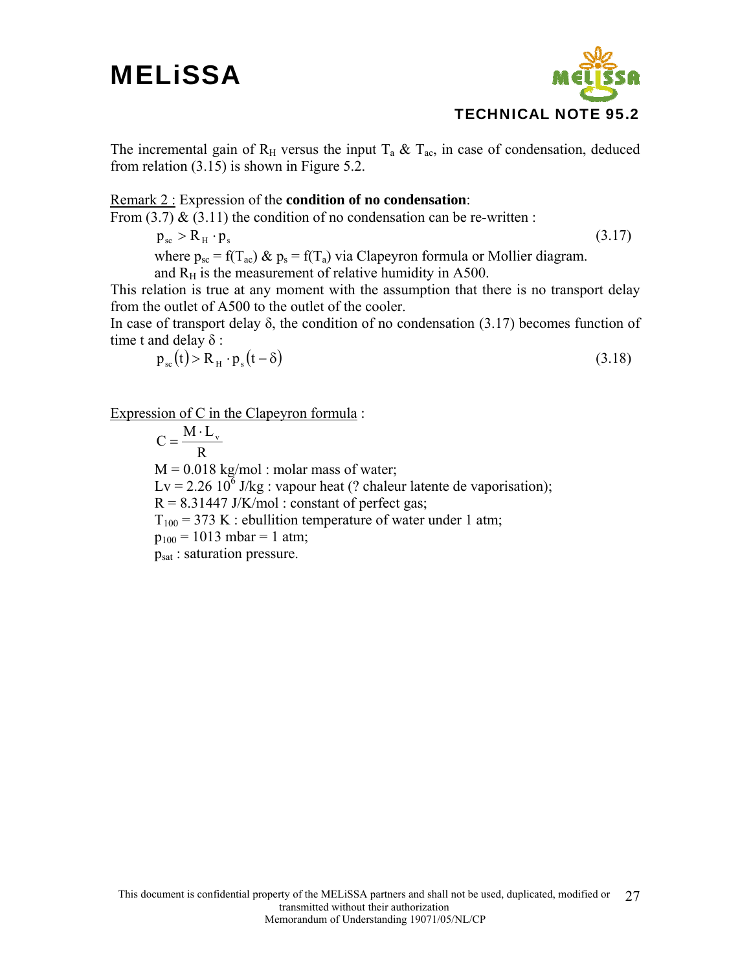

The incremental gain of R<sub>H</sub> versus the input  $T_a \& T_{ac}$ , in case of condensation, deduced from relation (3.15) is shown in Figure 5.2.

#### Remark 2 : Expression of the **condition of no condensation**:

From  $(3.7)$  &  $(3.11)$  the condition of no condensation can be re-written :

 $p_{\rm ss} > R_{\rm H} \cdot p_{\rm s}$  (3.17)

where  $p_{sc} = f(T_{ac}) \& p_s = f(T_a)$  via Clapeyron formula or Mollier diagram.

and  $R_H$  is the measurement of relative humidity in A500.

This relation is true at any moment with the assumption that there is no transport delay from the outlet of A500 to the outlet of the cooler.

In case of transport delay  $\delta$ , the condition of no condensation (3.17) becomes function of time t and delay δ :

$$
p_{\rm sc}(t) > R_{\rm H} \cdot p_{\rm s}(t-\delta) \tag{3.18}
$$

Expression of C in the Clapeyron formula :

R  $C = \frac{M \cdot L_v}{R}$  $M = 0.018$  kg/mol : molar mass of water;  $Lv = 2.26 \, 10^6 \, J/kg$ : vapour heat (? chaleur latente de vaporisation);  $R = 8.31447$  J/K/mol : constant of perfect gas;  $T_{100}$  = 373 K : ebullition temperature of water under 1 atm;  $p_{100} = 1013$  mbar = 1 atm; psat : saturation pressure.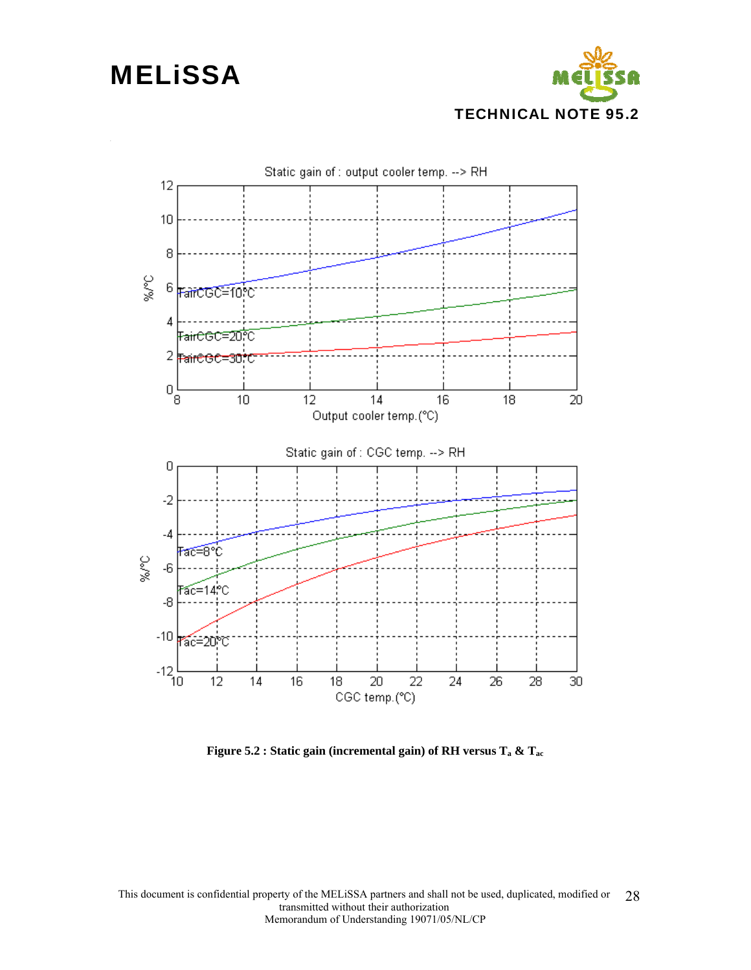



**Figure 5.2 : Static gain (incremental gain) of RH versus Ta & Tac**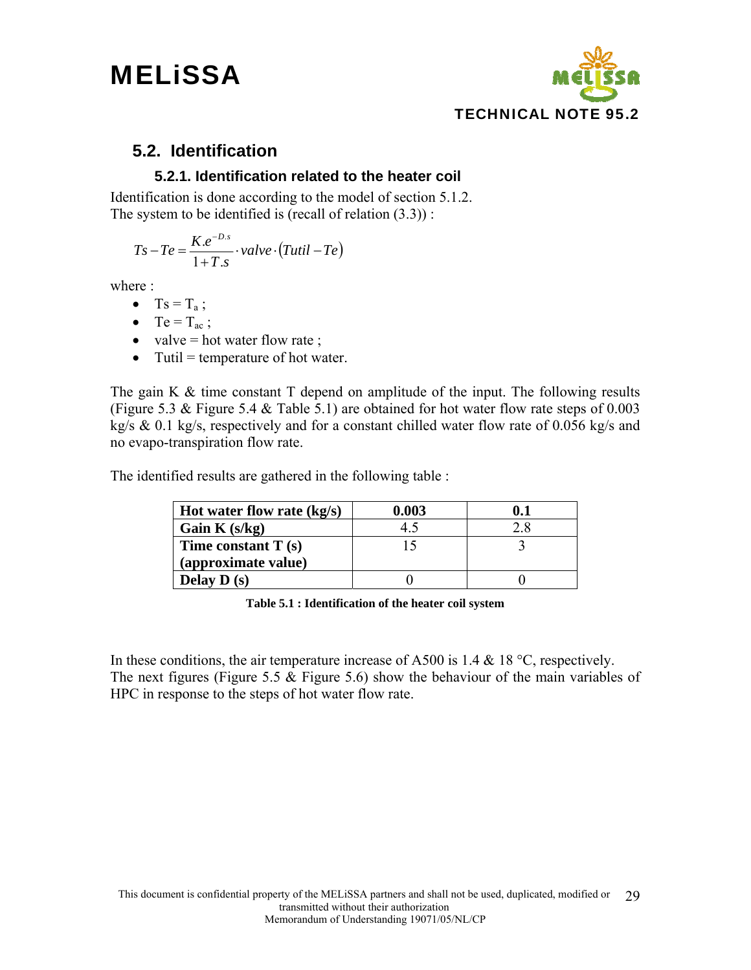

### **5.2. Identification**

#### **5.2.1. Identification related to the heater coil**

Identification is done according to the model of section 5.1.2. The system to be identified is (recall of relation (3.3)) :

$$
Ts - Te = \frac{K.e^{-D.s}}{1 + T.s} \cdot value \cdot (Tutil - Te)
$$

where :

- $Ts = T_a$ ;
- Te =  $T_{ac}$ ;
- valve  $=$  hot water flow rate ;
- Tutil  $=$  temperature of hot water.

The gain K & time constant T depend on amplitude of the input. The following results (Figure 5.3 & Figure 5.4 & Table 5.1) are obtained for hot water flow rate steps of 0.003 kg/s & 0.1 kg/s, respectively and for a constant chilled water flow rate of 0.056 kg/s and no evapo-transpiration flow rate.

The identified results are gathered in the following table :

| Hot water flow rate $(kg/s)$ | 0.003 | 0.1 |
|------------------------------|-------|-----|
| Gain K $(s/kg)$              | 45    |     |
| Time constant $T(s)$         |       |     |
| (approximate value)          |       |     |
| Delay $D(s)$                 |       |     |

**Table 5.1 : Identification of the heater coil system** 

In these conditions, the air temperature increase of A500 is 1.4  $\&$  18 °C, respectively. The next figures (Figure 5.5 & Figure 5.6) show the behaviour of the main variables of HPC in response to the steps of hot water flow rate.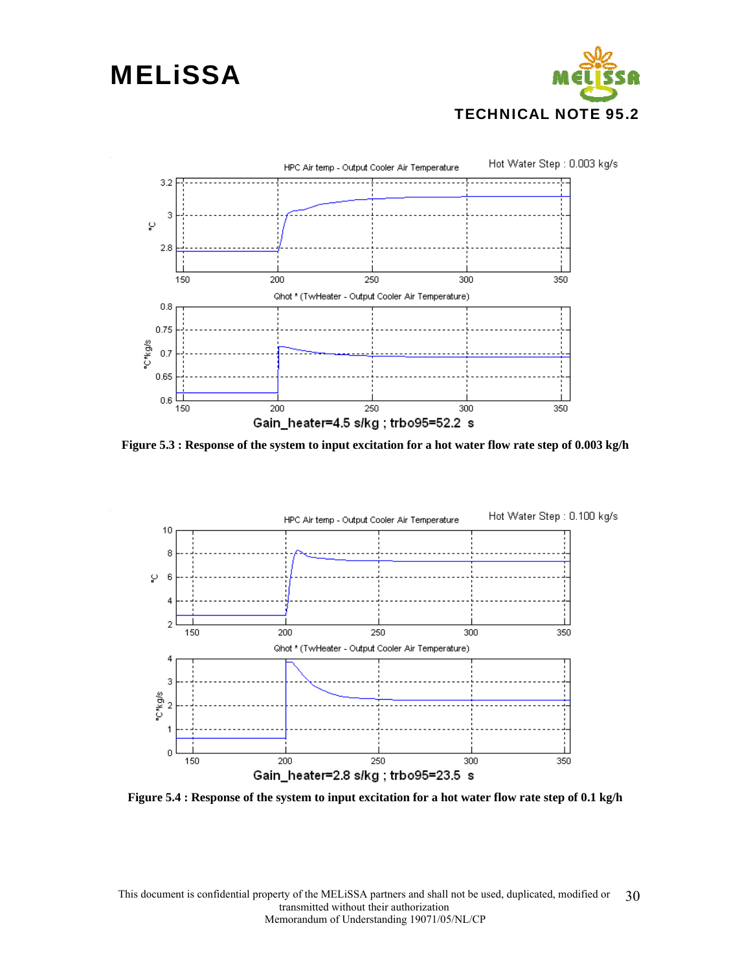



**Figure 5.3 : Response of the system to input excitation for a hot water flow rate step of 0.003 kg/h** 



**Figure 5.4 : Response of the system to input excitation for a hot water flow rate step of 0.1 kg/h**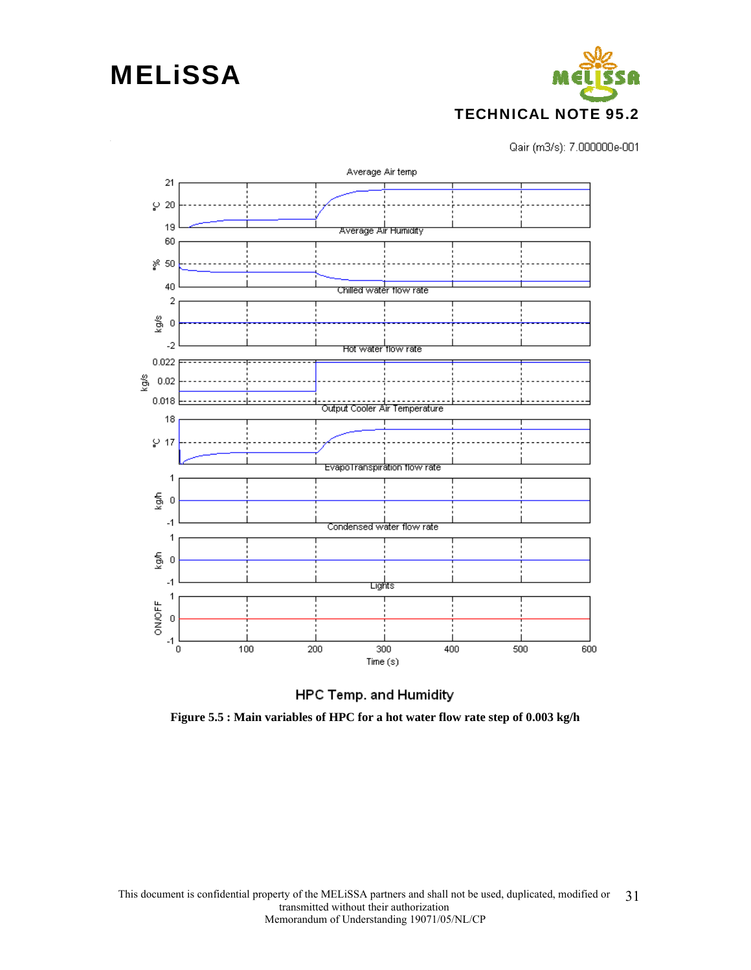

Qair (m3/s): 7.000000e-001





**Figure 5.5 : Main variables of HPC for a hot water flow rate step of 0.003 kg/h**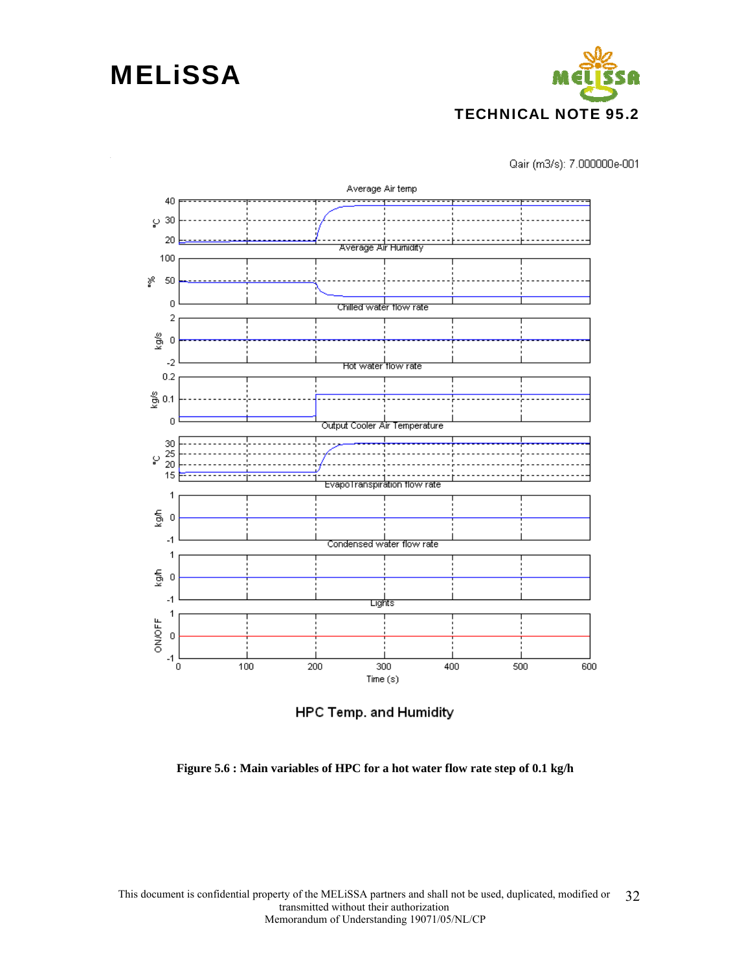

Qair (m3/s): 7.000000e-001





**Figure 5.6 : Main variables of HPC for a hot water flow rate step of 0.1 kg/h**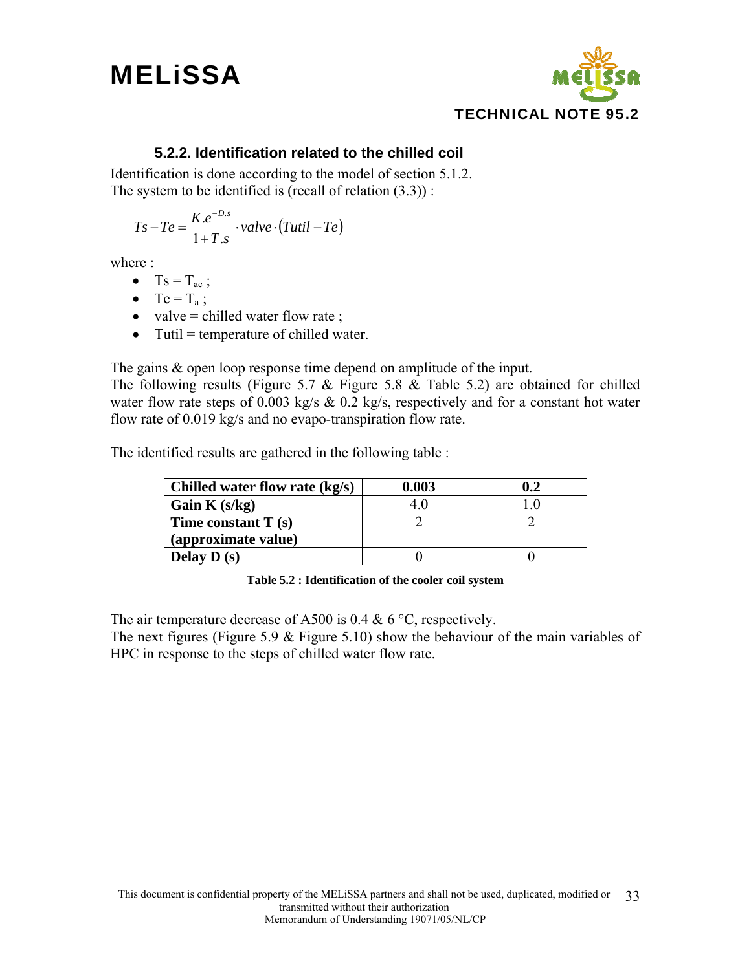



#### **5.2.2. Identification related to the chilled coil**

Identification is done according to the model of section 5.1.2. The system to be identified is (recall of relation  $(3.3)$ ) :

$$
Ts - Te = \frac{K.e^{-D.s}}{1 + T.s} \cdot value \cdot (Tutil - Te)
$$

where :

- $Ts = T_{ac}$ ;
- $Te = T_a$ ;
- valve = chilled water flow rate ;
- Tutil  $=$  temperature of chilled water.

The gains & open loop response time depend on amplitude of the input.

The following results (Figure 5.7  $\&$  Figure 5.8  $\&$  Table 5.2) are obtained for chilled water flow rate steps of 0.003 kg/s  $\&$  0.2 kg/s, respectively and for a constant hot water flow rate of 0.019 kg/s and no evapo-transpiration flow rate.

The identified results are gathered in the following table :

| Chilled water flow rate $(kg/s)$ | 0.003 |  |
|----------------------------------|-------|--|
| Gain K $(s/kg)$                  |       |  |
| Time constant $T(s)$             |       |  |
| (approximate value)              |       |  |
| Delay $D(s)$                     |       |  |

**Table 5.2 : Identification of the cooler coil system** 

The air temperature decrease of A500 is 0.4 & 6  $^{\circ}$ C, respectively.

The next figures (Figure 5.9  $&$  Figure 5.10) show the behaviour of the main variables of HPC in response to the steps of chilled water flow rate.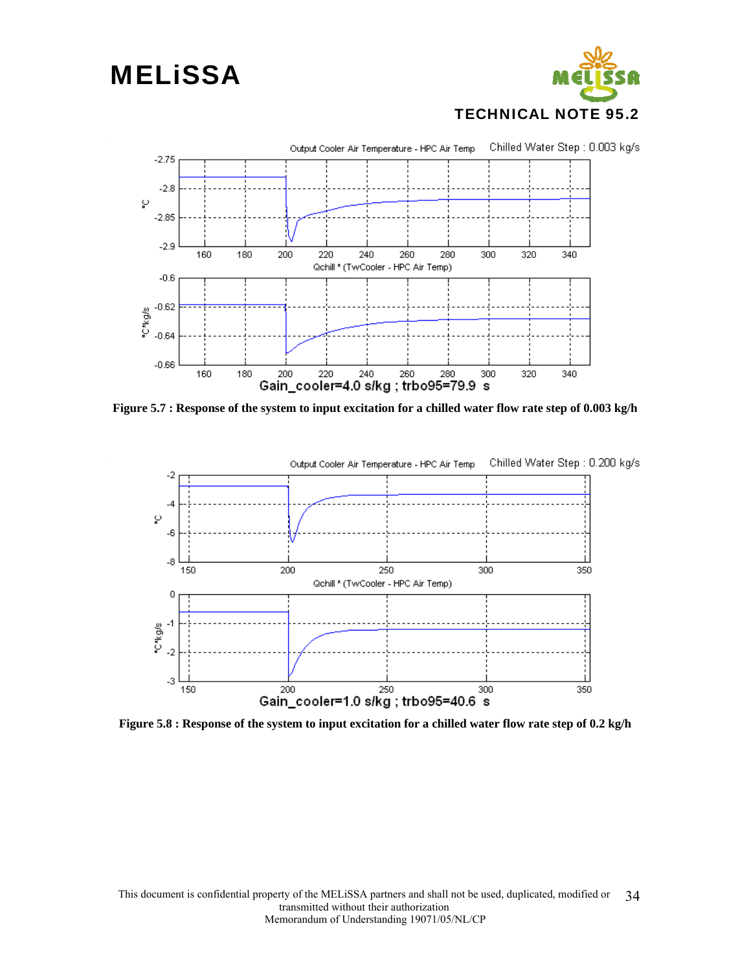



**Figure 5.7 : Response of the system to input excitation for a chilled water flow rate step of 0.003 kg/h** 



**Figure 5.8 : Response of the system to input excitation for a chilled water flow rate step of 0.2 kg/h**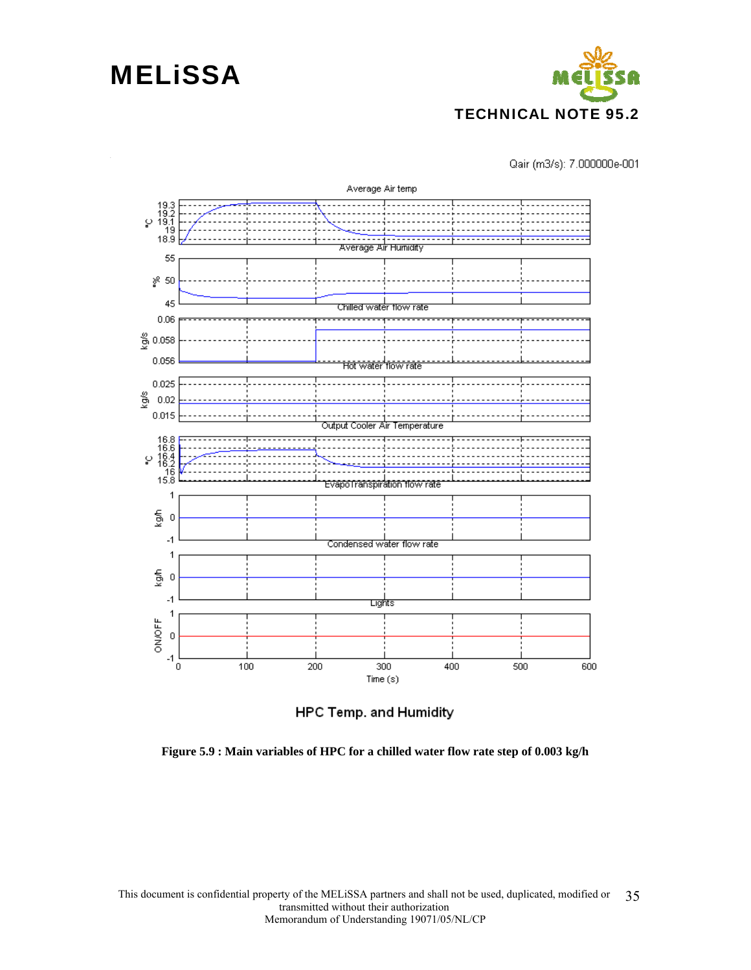



Qair (m3/s): 7.000000e-001





**Figure 5.9 : Main variables of HPC for a chilled water flow rate step of 0.003 kg/h**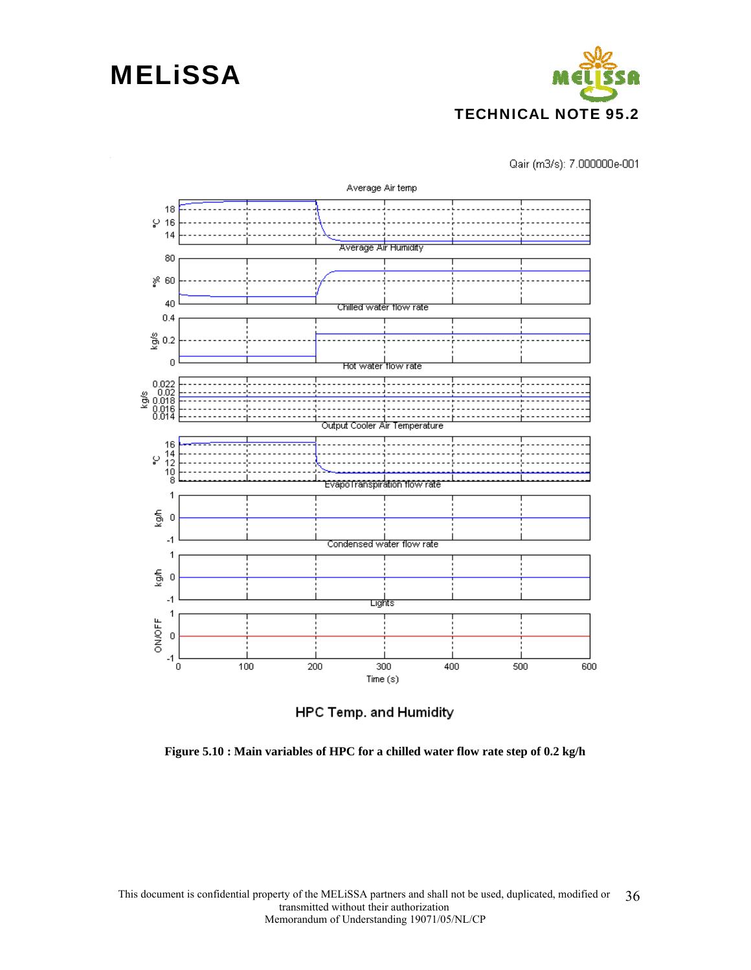

Qair (m3/s): 7.000000e-001





**Figure 5.10 : Main variables of HPC for a chilled water flow rate step of 0.2 kg/h**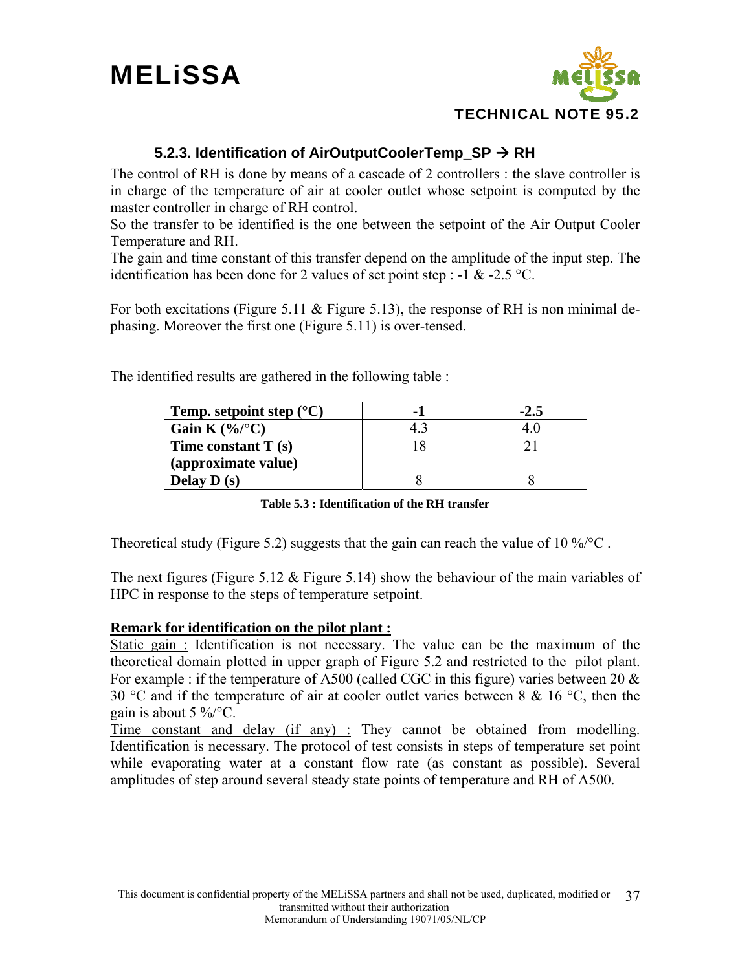



#### **5.2.3. Identification of AirOutputCoolerTemp SP → RH**

The control of RH is done by means of a cascade of 2 controllers : the slave controller is in charge of the temperature of air at cooler outlet whose setpoint is computed by the master controller in charge of RH control.

So the transfer to be identified is the one between the setpoint of the Air Output Cooler Temperature and RH.

The gain and time constant of this transfer depend on the amplitude of the input step. The identification has been done for 2 values of set point step : -1 & -2.5 °C.

For both excitations (Figure 5.11 & Figure 5.13), the response of RH is non minimal dephasing. Moreover the first one (Figure 5.11) is over-tensed.

The identified results are gathered in the following table :

| Temp. setpoint step $(^{\circ}C)$ | ۰. |  |
|-----------------------------------|----|--|
| Gain K $(\%)^{\circ}C$            |    |  |
| Time constant $T(s)$              |    |  |
| (approximate value)               |    |  |
| Delay $D(s)$                      |    |  |

**Table 5.3 : Identification of the RH transfer** 

Theoretical study (Figure 5.2) suggests that the gain can reach the value of 10 %/ $\rm ^{\circ}C$ .

The next figures (Figure 5.12  $\&$  Figure 5.14) show the behaviour of the main variables of HPC in response to the steps of temperature setpoint.

#### **Remark for identification on the pilot plant :**

Static gain : Identification is not necessary. The value can be the maximum of the theoretical domain plotted in upper graph of Figure 5.2 and restricted to the pilot plant. For example : if the temperature of A500 (called CGC in this figure) varies between 20  $\&$ 30 °C and if the temperature of air at cooler outlet varies between 8 & 16 °C, then the gain is about  $5\%$ <sup>\o</sup>C.

Time constant and delay (if any) : They cannot be obtained from modelling. Identification is necessary. The protocol of test consists in steps of temperature set point while evaporating water at a constant flow rate (as constant as possible). Several amplitudes of step around several steady state points of temperature and RH of A500.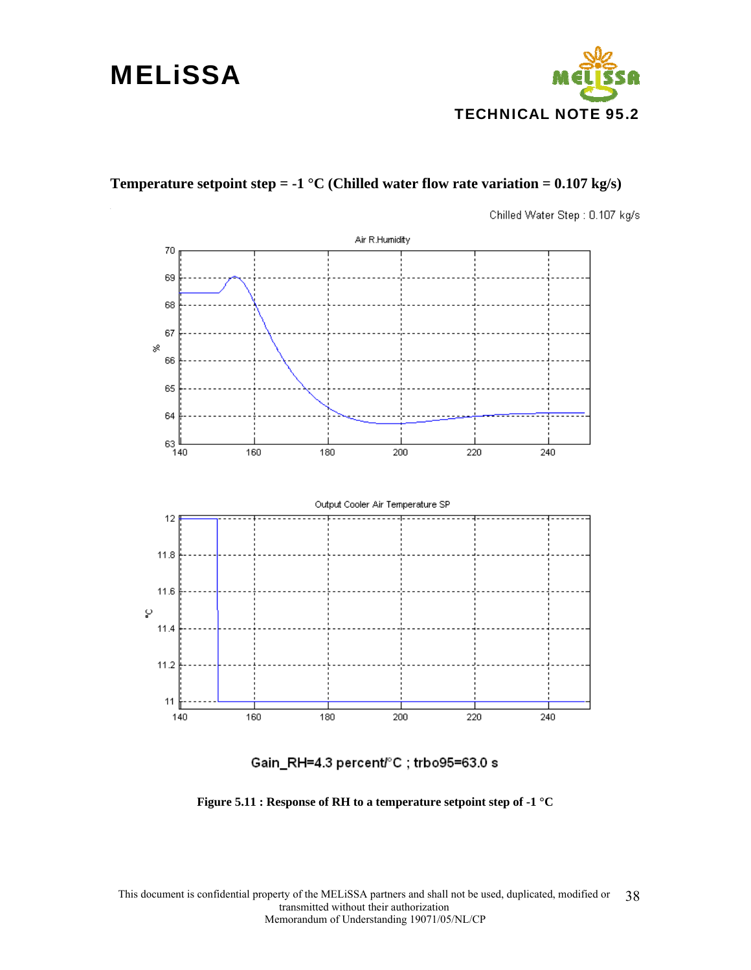### **MELISSA**



#### **Temperature setpoint step = -1 °C (Chilled water flow rate variation = 0.107 kg/s)**

Chilled Water Step: 0.107 kg/s



Gain\_RH=4.3 percent/°C; trbo95=63.0 s

**Figure 5.11 : Response of RH to a temperature setpoint step of -1 °C**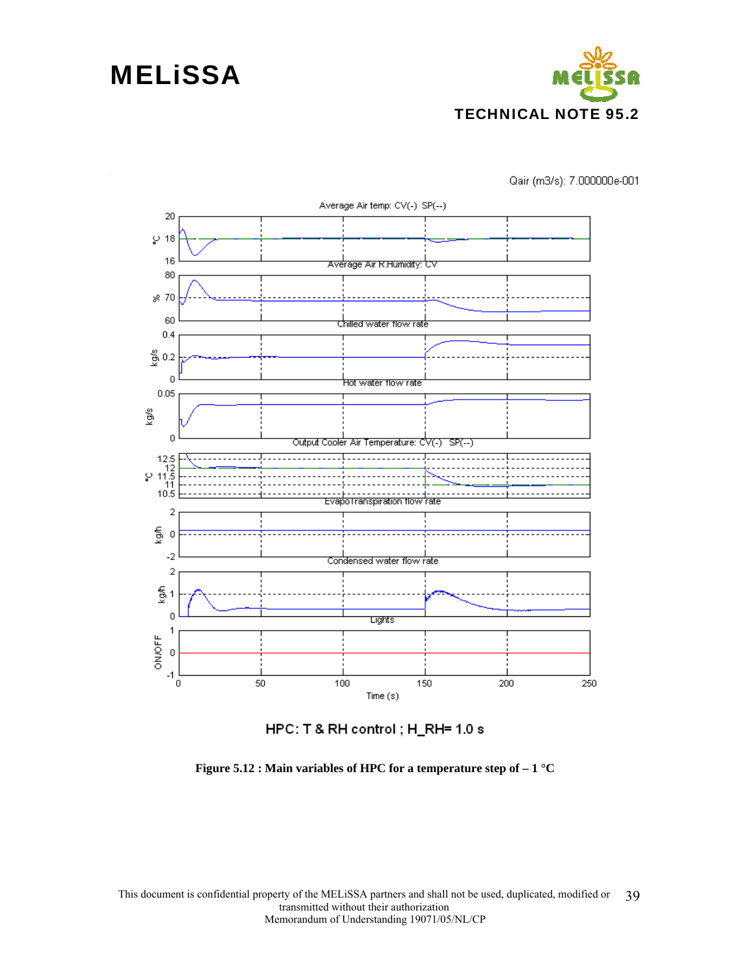

Qair (m3/s): 7.000000e-001





**Figure 5.12 : Main variables of HPC for a temperature step of – 1 °C**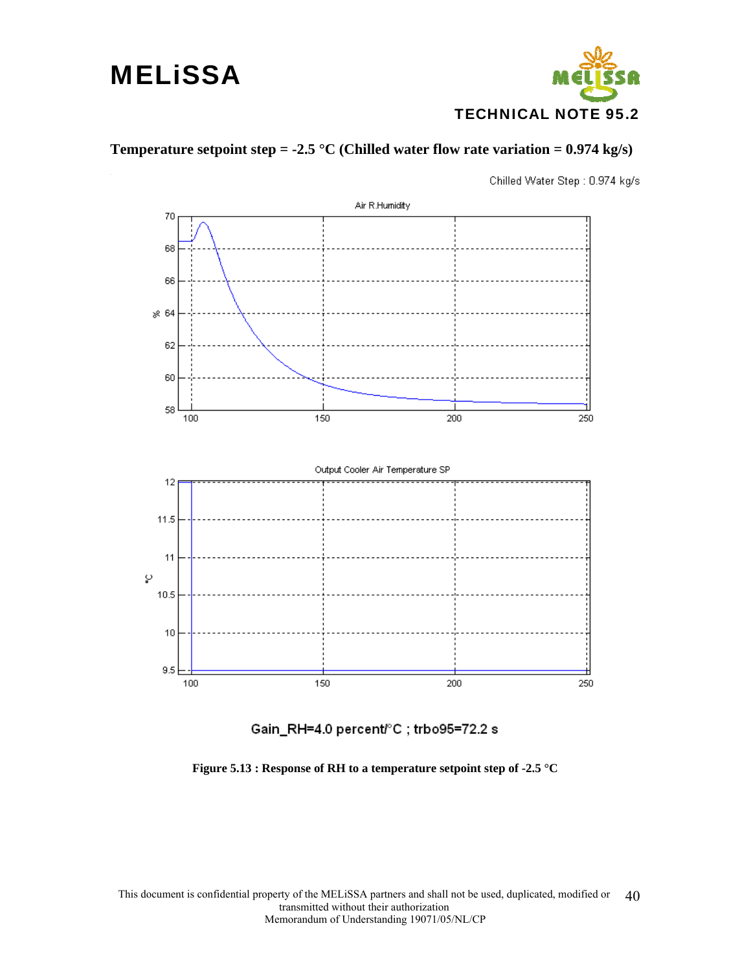

#### **Temperature setpoint step = -2.5 °C (Chilled water flow rate variation = 0.974 kg/s)**

Chilled Water Step: 0.974 kg/s



Gain\_RH=4.0 percent/°C; trbo95=72.2 s

**Figure 5.13 : Response of RH to a temperature setpoint step of -2.5 °C**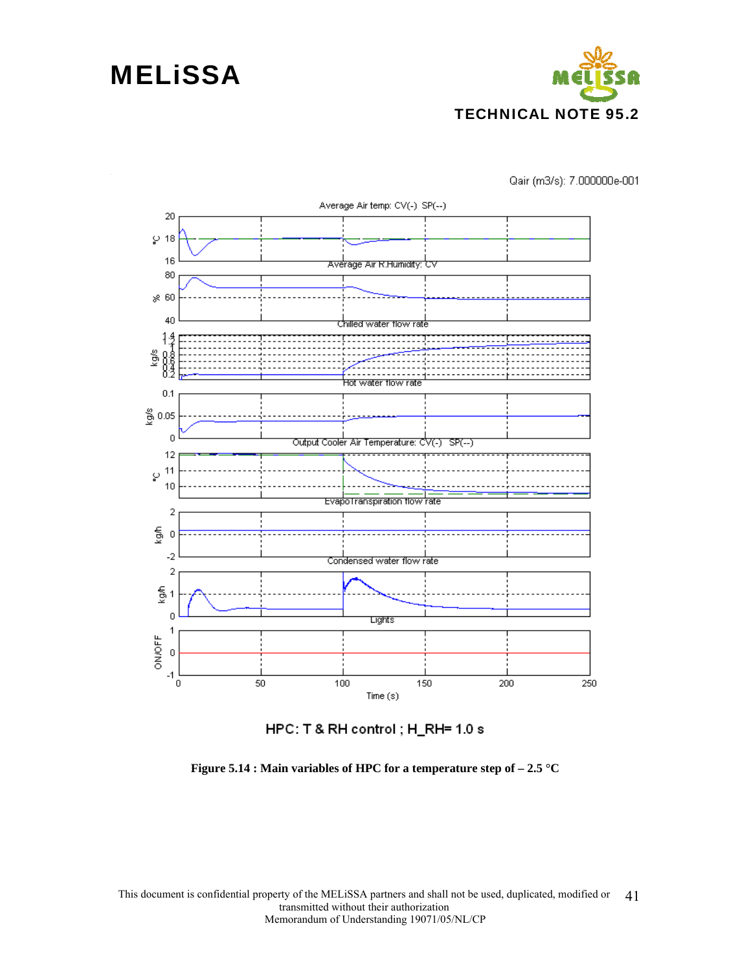

Qair (m3/s): 7.000000e-001



HPC: T & RH control ; H\_RH= 1.0 s

**Figure 5.14 : Main variables of HPC for a temperature step of – 2.5 °C**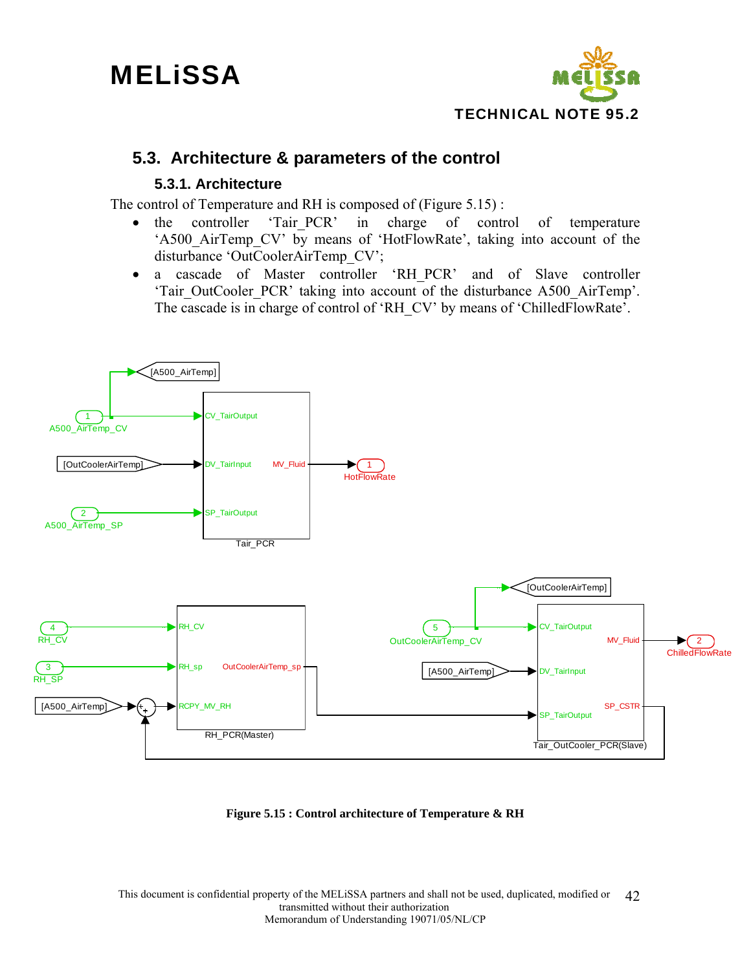

### **5.3. Architecture & parameters of the control**

#### **5.3.1. Architecture**

The control of Temperature and RH is composed of (Figure 5.15) :

- the controller 'Tair PCR' in charge of control of temperature 'A500 AirTemp CV' by means of 'HotFlowRate', taking into account of the disturbance 'OutCoolerAirTemp\_CV';
- a cascade of Master controller 'RH\_PCR' and of Slave controller 'Tair\_OutCooler\_PCR' taking into account of the disturbance A500\_AirTemp'. The cascade is in charge of control of 'RH\_CV' by means of 'ChilledFlowRate'.



**Figure 5.15 : Control architecture of Temperature & RH**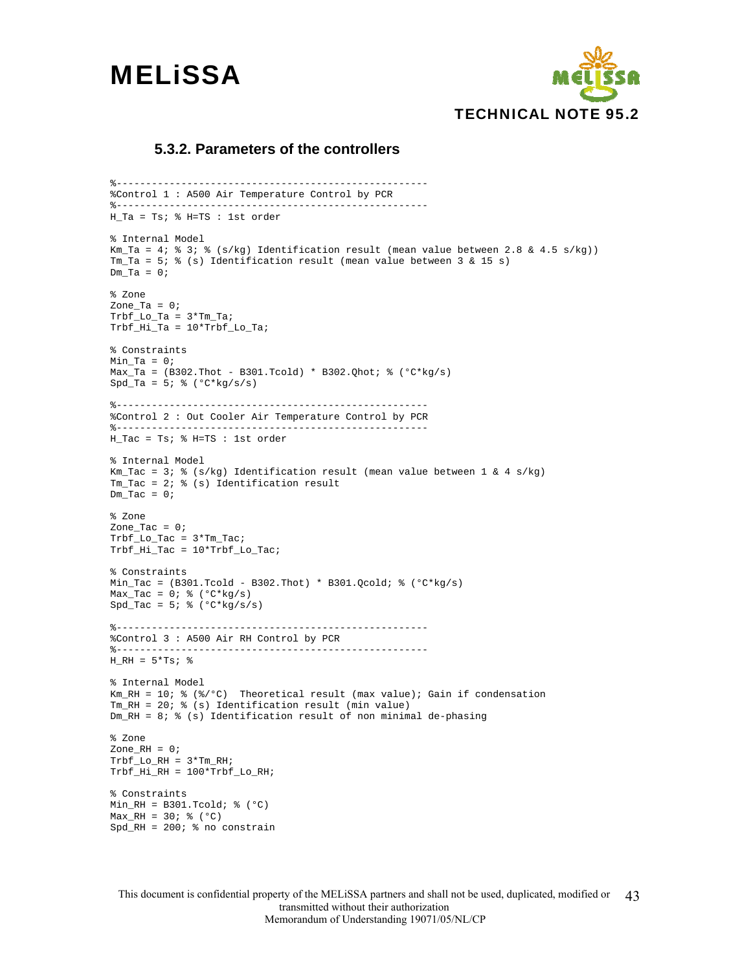



#### **5.3.2. Parameters of the controllers**

%----------------------------------------------------- %Control 1 : A500 Air Temperature Control by PCR %----------------------------------------------------- H\_Ta = Ts; % H=TS : 1st order % Internal Model Km\_Ta = 4; % 3; % (s/kg) Identification result (mean value between 2.8 & 4.5 s/kg)) Tm\_Ta = 5; % (s) Identification result (mean value between 3 & 15 s)  $Dm_Ta = 0;$ % Zone Zone $Ta = 0;$  $Trbf\_Lo_Ta = 3*Tm_Ta;$ Trbf\_Hi\_Ta = 10\*Trbf\_Lo\_Ta; % Constraints  $Min_Ta = 0;$ Max\_Ta =  $(B302.Thot - B301.Tcold) * B302.Qhot; % (°C*kg/s)$  $Spd_Ta = 5; % (°C*kg/s/s)$ %----------------------------------------------------- %Control 2 : Out Cooler Air Temperature Control by PCR %----------------------------------------------------- H\_Tac = Ts; % H=TS : 1st order % Internal Model Km\_Tac = 3; % (s/kg) Identification result (mean value between  $1 \& 4 \text{ s/kg}$ )  $Tm_Tac = 2;$  % (s) Identification result  $Dm_Tac = 0;$ % Zone Zone\_Tac =  $0;$  $\verb+Trbf_to_Tac = 3* \verb+Tm_Tac;$ Trbf\_Hi\_Tac = 10\*Trbf\_Lo\_Tac; % Constraints Min\_Tac =  $(B301.Tcold - B302.Thot) * B301.Qcold; % (°C*kg/s)$ Max\_Tac =  $0$ ;  $%$  ( $C*kg/s$ )  $Spd_Tac = 5;$  % ( $°C*kg/s/s$ ) %----------------------------------------------------- %Control 3 : A500 Air RH Control by PCR %-----------------------------------------------------  $H_RH = 5*Ts;$  % % Internal Model  $Km_RH = 10$ ;  $%$  ( $*/^{\circ}C$ ) Theoretical result (max value); Gain if condensation Tm\_RH = 20; % (s) Identification result (min value) Dm\_RH = 8; % (s) Identification result of non minimal de-phasing  $% 7$   $\cap$   $\cap$  $Zone_RH = 0;$  $Trbf\_LO_RH = 3*Tm_RH$ ; Trbf\_Hi\_RH = 100\*Trbf\_Lo\_RH; % Constraints Min\_RH = B301.Tcold;  $% (°C)$  $Max_RH = 30; %$  (°C)  $Spd_RH = 200$ ; % no constrain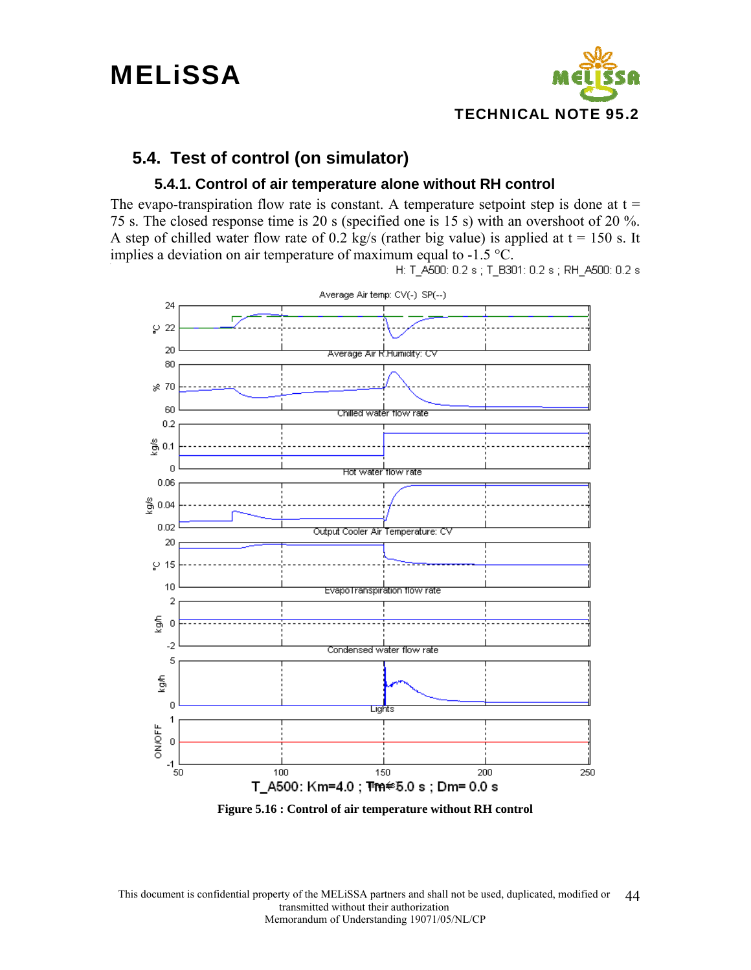

### **5.4. Test of control (on simulator)**

#### **5.4.1. Control of air temperature alone without RH control**

The evapo-transpiration flow rate is constant. A temperature setpoint step is done at  $t =$ 75 s. The closed response time is 20 s (specified one is 15 s) with an overshoot of 20 %. A step of chilled water flow rate of 0.2 kg/s (rather big value) is applied at  $t = 150$  s. It implies a deviation on air temperature of maximum equal to -1.5 °C.<br>H: T\_A500: 0.2 s; T\_B301: 0.2 s; RH\_A500: 0.2 s

Average Air temp: CV(-) SP(--) 24 л  $\wp$  22  $20$ <del>Average Air R.Humidity: C</del>v 80  $\frac{1}{6}$  70 60 Chilled water flow rate  $0.2$ 6, 0.1 n **Hot water flow rate**  $0.06$  $\frac{8}{9}$  0.04  $0.02$ Output Cooler Air Temperature: CV 20  $9-15$ 10 EvapoTranspiration flow rate 2 န့  $\overline{0}$ -2 Condensed water flow rate 5 fgh  $\overline{0}$ Lights 1 ON/OFF  $\boldsymbol{0}$  $-1$ <sub>50</sub> 100 150 200 250 T\_A500:Km=4.0;T™n≑5.0s;Dm=0.0s

**Figure 5.16 : Control of air temperature without RH control**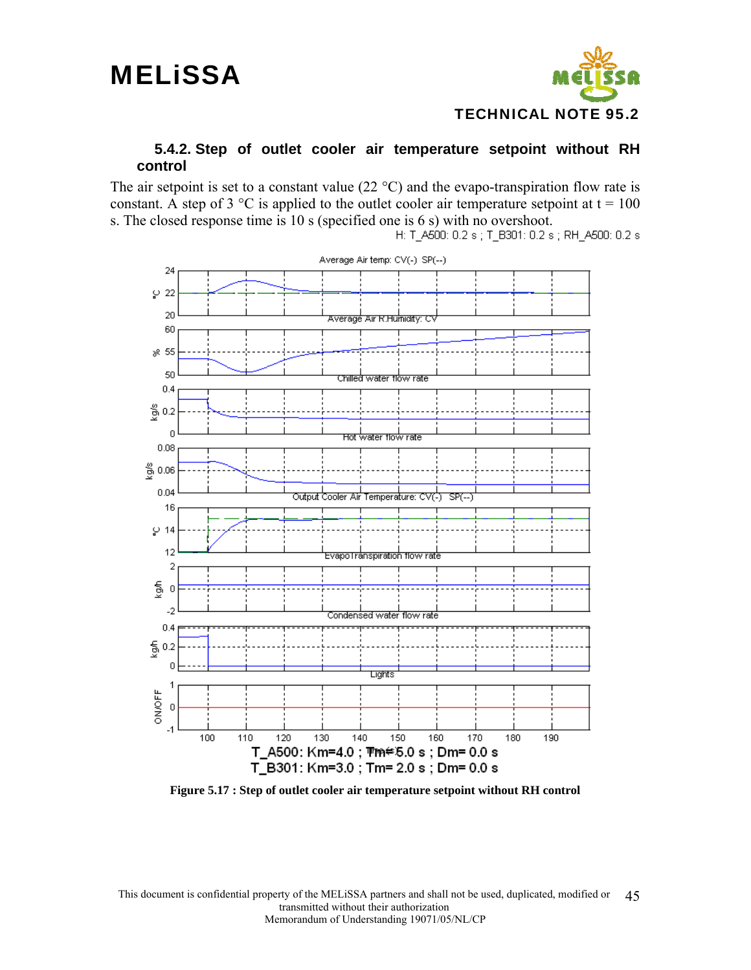

#### **5.4.2. Step of outlet cooler air temperature setpoint without RH control**

The air setpoint is set to a constant value  $(22 \degree C)$  and the evapo-transpiration flow rate is constant. A step of 3  $\degree$ C is applied to the outlet cooler air temperature setpoint at t = 100 s. The closed response time is 10 s (specified one is 6 s) with no overshoot.<br>H:  $T_4$  A500: 0.2 s;  $T_5$  B301: 0.2 s; RH\_A500: 0.2 s



**Figure 5.17 : Step of outlet cooler air temperature setpoint without RH control**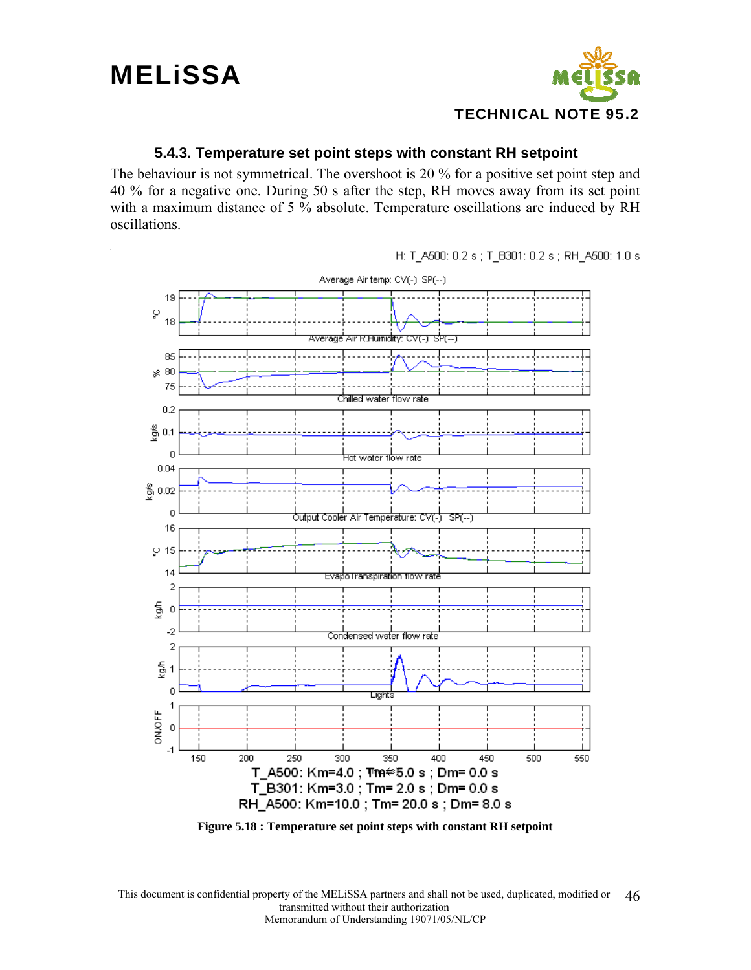## **MELISSA**



#### **5.4.3. Temperature set point steps with constant RH setpoint**

The behaviour is not symmetrical. The overshoot is 20 % for a positive set point step and 40 % for a negative one. During 50 s after the step, RH moves away from its set point with a maximum distance of 5 % absolute. Temperature oscillations are induced by RH oscillations.

Average Air temp: CV(-) SP(--) 19 ပ္ 18 Average Air R.Humidity: CV(-) डोग्(--) 85  $*80$ 75 Chilled water flow rate  $0.2$  $\frac{8}{9}$  0.1  $\overline{0}$ <del>hot water flow rate</del> 0.04  $\frac{8}{9}$  0.02 n ל otput Cooler Air Temperature: CV(כ)  $SP(-)$ 16  $\wp$  15 14 EvapoTranspiration flow rate  $\overline{2}$  $\frac{2}{9}$  $\overline{0}$  $-2$ Condensed water flow rate 2  $\frac{6}{9}$ n **Light**: 1 ON/OFF  $\boldsymbol{0}$  $-1$ 150 200 250 300 350 400 450 500 550 T\_A500: Km=4.0; T™m  $\approx$  5.0 s; Dm = 0.0 s T\_B301: Km=3.0; Tm= 2.0 s; Dm= 0.0 s RH A500: Km=10.0 ; Tm= 20.0 s ; Dm= 8.0 s

H: T\_A500: 0.2 s; T\_B301: 0.2 s; RH\_A500: 1.0 s

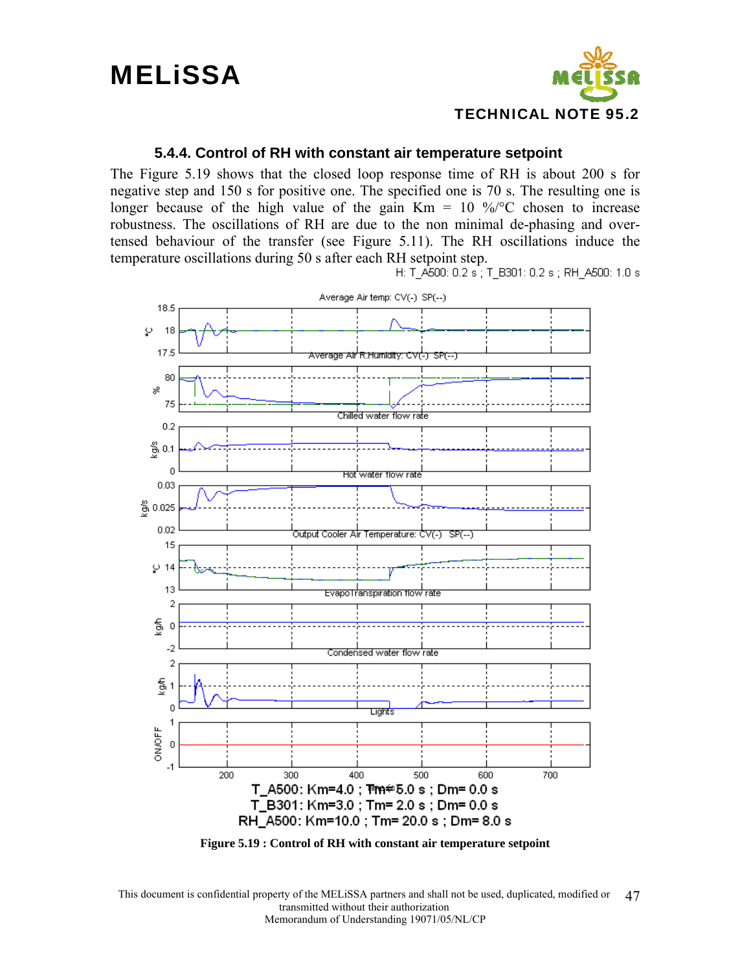

#### **5.4.4. Control of RH with constant air temperature setpoint**

The Figure 5.19 shows that the closed loop response time of RH is about 200 s for negative step and 150 s for positive one. The specified one is 70 s. The resulting one is longer because of the high value of the gain  $Km = 10\degree\%$  chosen to increase robustness. The oscillations of RH are due to the non minimal de-phasing and overtensed behaviour of the transfer (see Figure 5.11). The RH oscillations induce the temperature oscillations during 50 s after each RH setpoint step.<br>H: T A500: 0.2 s ; T B301: 0.2 s ; RH A500: 1.0 s

![](_page_46_Figure_5.jpeg)

**Figure 5.19 : Control of RH with constant air temperature setpoint**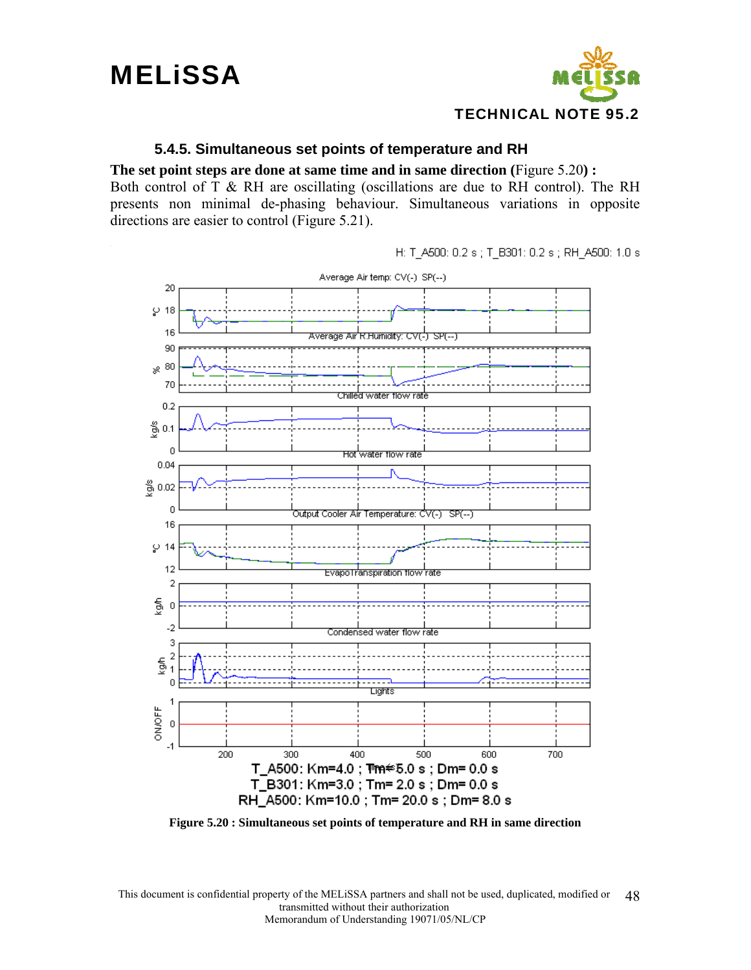![](_page_47_Picture_0.jpeg)

![](_page_47_Picture_1.jpeg)

#### **5.4.5. Simultaneous set points of temperature and RH**

**The set point steps are done at same time and in same direction (**Figure 5.20**) :** 

Both control of T & RH are oscillating (oscillations are due to RH control). The RH presents non minimal de-phasing behaviour. Simultaneous variations in opposite directions are easier to control (Figure 5.21).

H: T-A500: 0.2 s ; T-B301: 0.2 s ; RH-A500: 1.0 s

![](_page_47_Figure_6.jpeg)

**Figure 5.20 : Simultaneous set points of temperature and RH in same direction**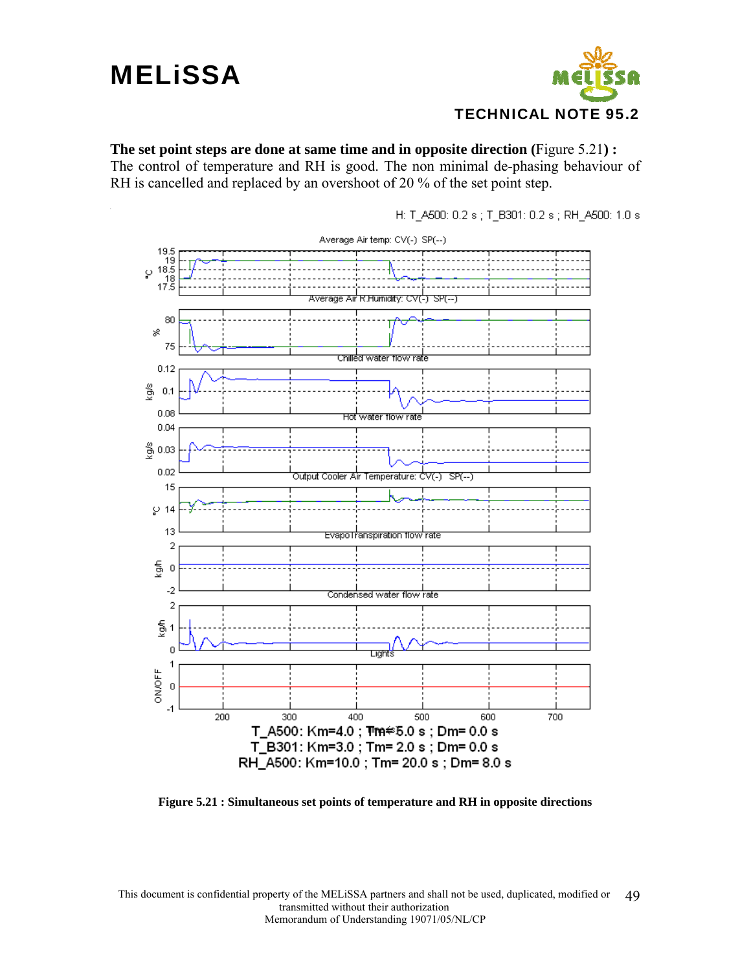![](_page_48_Picture_1.jpeg)

**The set point steps are done at same time and in opposite direction (**Figure 5.21**) :**  The control of temperature and RH is good. The non minimal de-phasing behaviour of RH is cancelled and replaced by an overshoot of 20 % of the set point step.

Average Air temp: CV(-) SP(--) 19.5 3.51<br>18.5<br>18.5 ي 18  $17.\bar{5}$ Average Air R.Humidity: CV(-) उल-80 × 75 Chilled water flow rate 0.12 å  $0.1$  $0.08$ **Hot** water flow rate 0.04 쯩 0.03  $0.02$ Output Cooler Air Temperature: CV(-) \_SP(--) 15  $\wp$  14  $13$ EvapoTranspiration flow rate  $\overline{\mathbf{c}}$ ĝ  $\boldsymbol{0}$ -2 Condensed water flow rate  $\overline{2}$ kgih n ⊔ghts 1 ON/OFF  $\overline{\mathbf{0}}$  $-1$ 200 300 400 500 600 700 T\_A500: Km=4.0; Tm+  $\approx$ 5.0 s; Dm= 0.0 s T\_B301: Km=3.0; Tm= 2.0 s; Dm= 0.0 s RH\_A500: Km=10.0; Tm= 20.0 s; Dm= 8.0 s

H: T\_A500: 0.2 s; T\_B301: 0.2 s; RH\_A500: 1.0 s

**Figure 5.21 : Simultaneous set points of temperature and RH in opposite directions**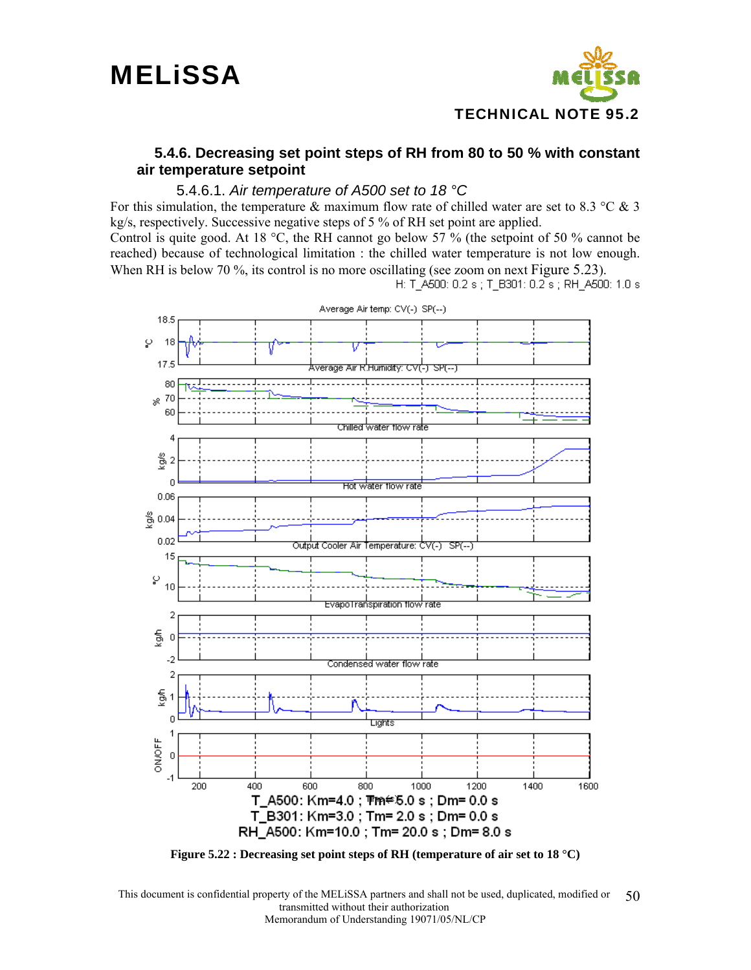![](_page_49_Picture_1.jpeg)

#### **5.4.6. Decreasing set point steps of RH from 80 to 50 % with constant air temperature setpoint**

#### 5.4.6.1. *Air temperature of A500 set to 18 °C*

For this simulation, the temperature & maximum flow rate of chilled water are set to 8.3 °C & 3 kg/s, respectively. Successive negative steps of 5 % of RH set point are applied.

Control is quite good. At 18  $^{\circ}$ C, the RH cannot go below 57 % (the setpoint of 50 % cannot be reached) because of technological limitation : the chilled water temperature is not low enough. When RH is below 70 %, its control is no more oscillating (see zoom on next Figure 5.23).<br>H: T A500: 0.2 s; T B301: 0.2 s; RH A500: 1.0 s

![](_page_49_Figure_7.jpeg)

**Figure 5.22 : Decreasing set point steps of RH (temperature of air set to 18 °C)**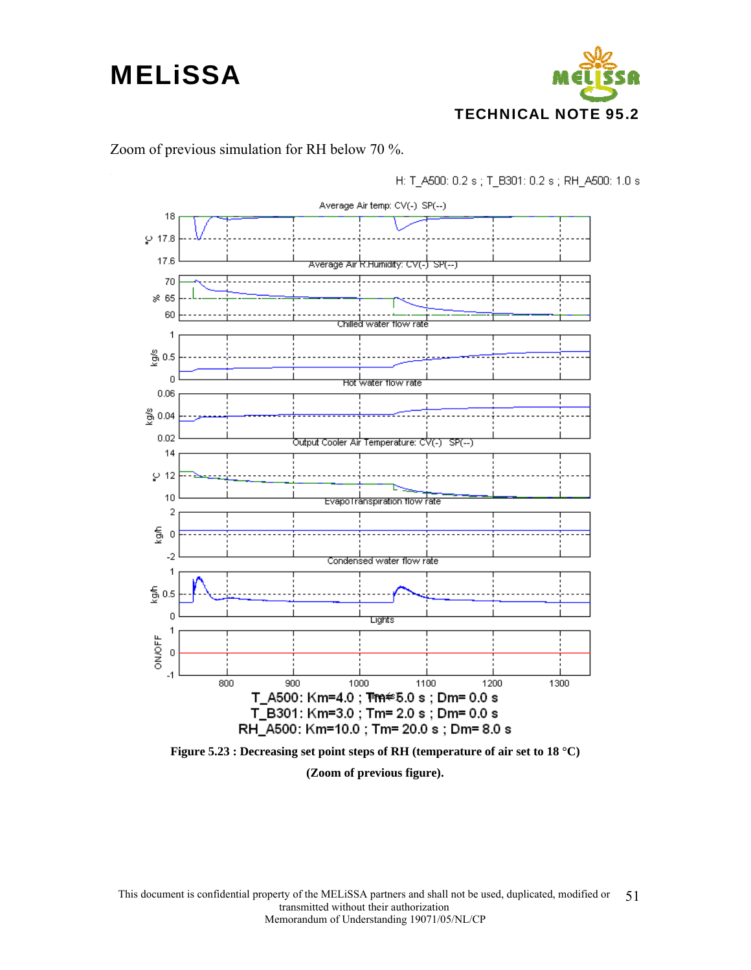![](_page_50_Figure_1.jpeg)

#### Zoom of previous simulation for RH below 70 %.

H: T\_A500: 0.2 s; T\_B301: 0.2 s; RH\_A500: 1.0 s

![](_page_50_Figure_4.jpeg)

**(Zoom of previous figure).**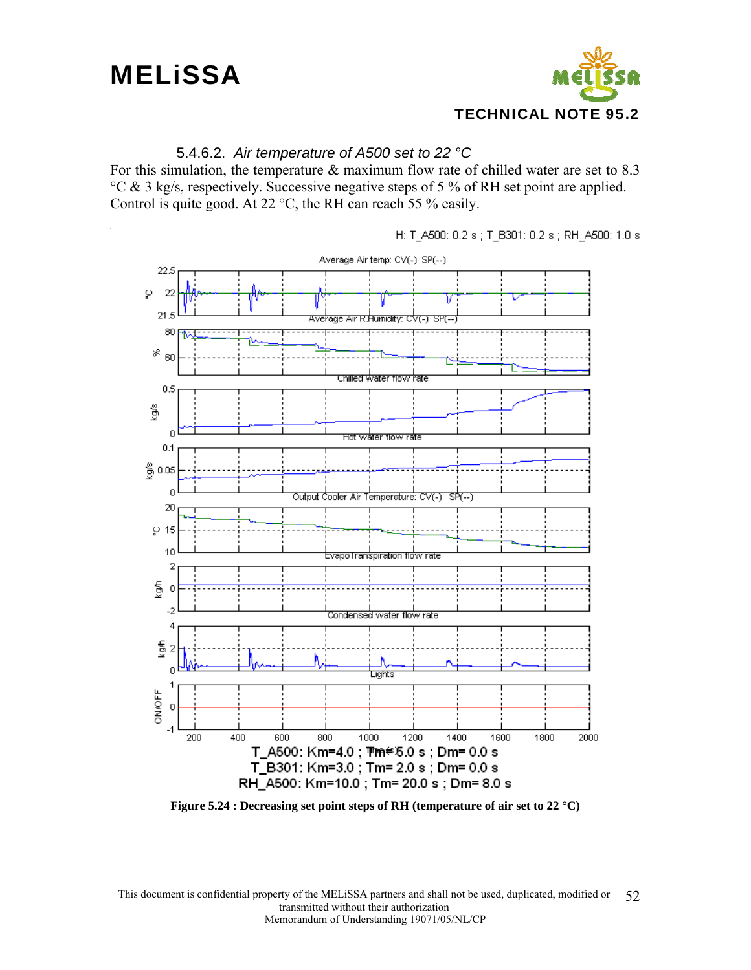![](_page_51_Picture_1.jpeg)

#### 5.4.6.2. *Air temperature of A500 set to 22 °C*

For this simulation, the temperature & maximum flow rate of chilled water are set to 8.3 °C & 3 kg/s, respectively. Successive negative steps of 5 % of RH set point are applied. Control is quite good. At 22 °C, the RH can reach 55 % easily.

![](_page_51_Figure_4.jpeg)

H: T\_A500: 0.2 s ; T\_B301: 0.2 s ; RH\_A500: 1.0 s

**Figure 5.24 : Decreasing set point steps of RH (temperature of air set to 22 °C)**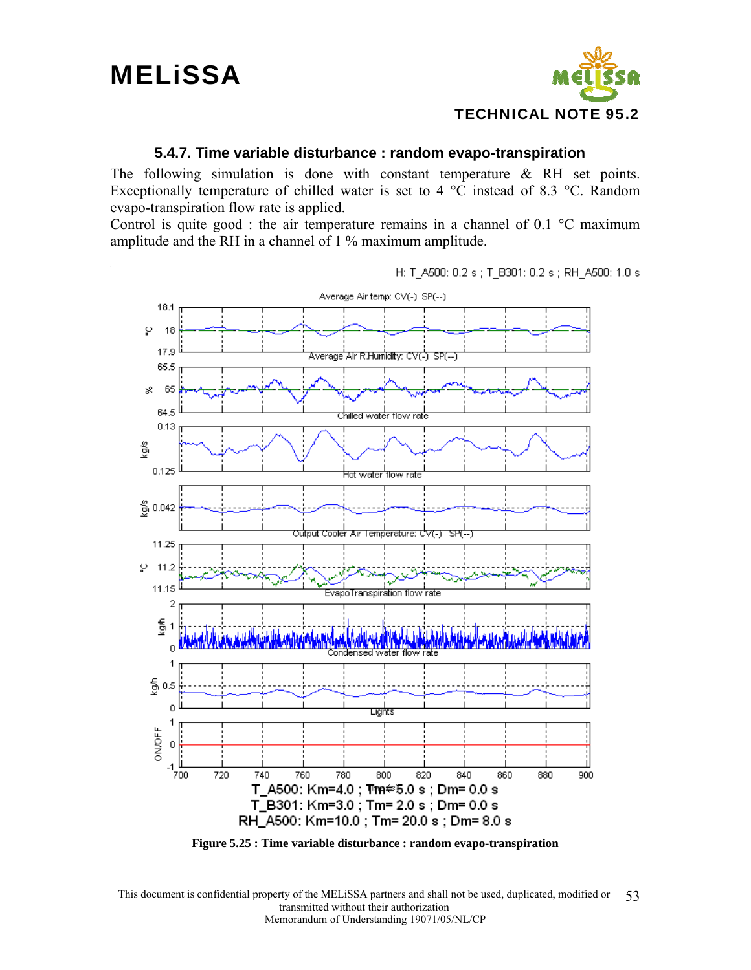**MELISSA** 

![](_page_52_Picture_1.jpeg)

#### **5.4.7. Time variable disturbance : random evapo-transpiration**

The following simulation is done with constant temperature  $\&$  RH set points. Exceptionally temperature of chilled water is set to 4  $^{\circ}$ C instead of 8.3  $^{\circ}$ C. Random evapo-transpiration flow rate is applied.

Control is quite good : the air temperature remains in a channel of  $0.1 \degree$ C maximum amplitude and the RH in a channel of 1 % maximum amplitude.

H: T\_A500: 0.2 s ; T\_B301: 0.2 s ; RH\_A500: 1.0 s

![](_page_52_Figure_6.jpeg)

**Figure 5.25 : Time variable disturbance : random evapo-transpiration**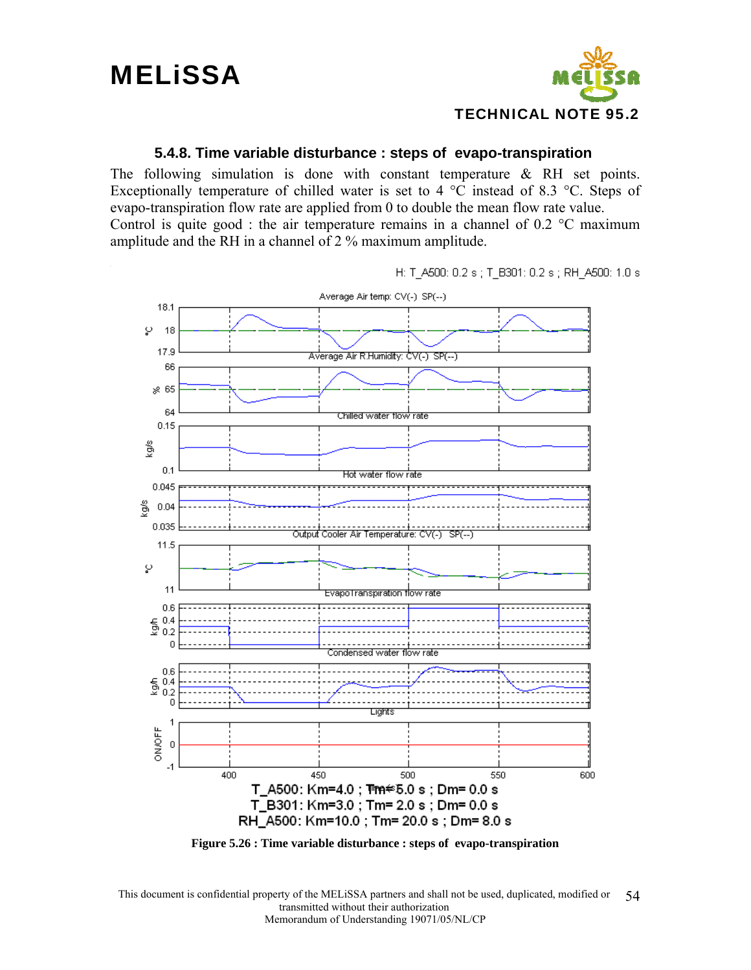![](_page_53_Picture_1.jpeg)

#### **5.4.8. Time variable disturbance : steps of evapo-transpiration**

The following simulation is done with constant temperature  $\&$  RH set points. Exceptionally temperature of chilled water is set to 4  $^{\circ}$ C instead of 8.3  $^{\circ}$ C. Steps of evapo-transpiration flow rate are applied from 0 to double the mean flow rate value. Control is quite good : the air temperature remains in a channel of  $0.2 \text{ °C}$  maximum amplitude and the RH in a channel of 2 % maximum amplitude.

H: T\_A500: 0.2 s ; T\_B301: 0.2 s ; RH\_A500: 1.0 s

![](_page_53_Figure_5.jpeg)

**Figure 5.26 : Time variable disturbance : steps of evapo-transpiration**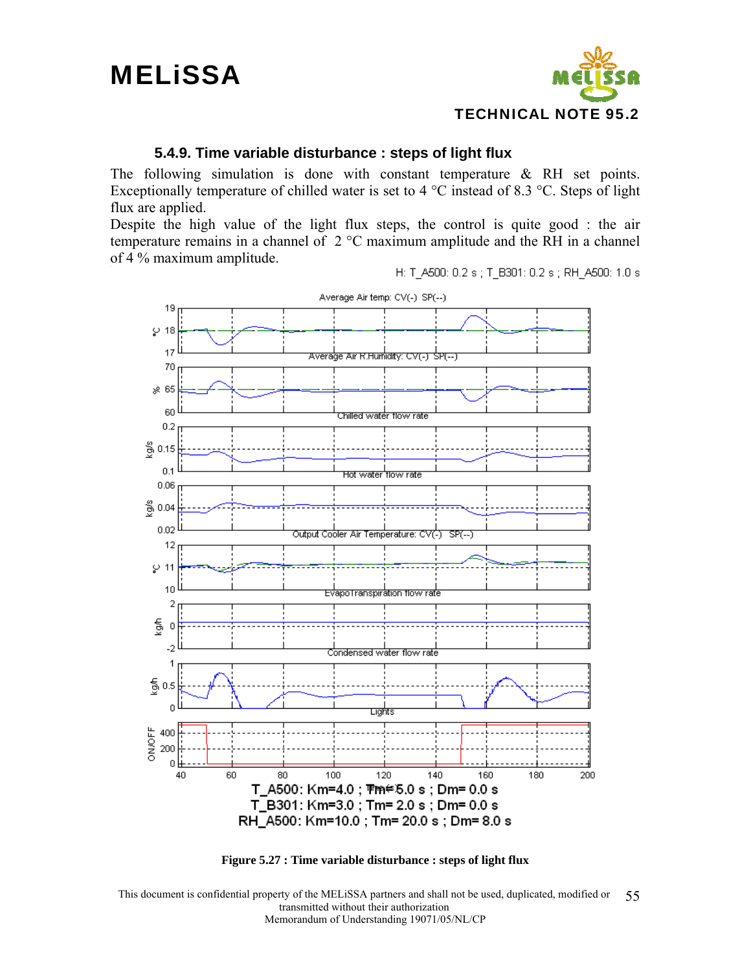## **MELISSA**

![](_page_54_Picture_1.jpeg)

#### **5.4.9. Time variable disturbance : steps of light flux**

The following simulation is done with constant temperature  $\&$  RH set points. Exceptionally temperature of chilled water is set to 4  $^{\circ}$ C instead of 8.3  $^{\circ}$ C. Steps of light flux are applied.

Despite the high value of the light flux steps, the control is quite good : the air temperature remains in a channel of 2 °C maximum amplitude and the RH in a channel of 4 % maximum amplitude.

H: T\_A500: 0.2 s ; T\_B301: 0.2 s ; RH\_A500: 1.0 s

![](_page_54_Figure_6.jpeg)

![](_page_54_Figure_7.jpeg)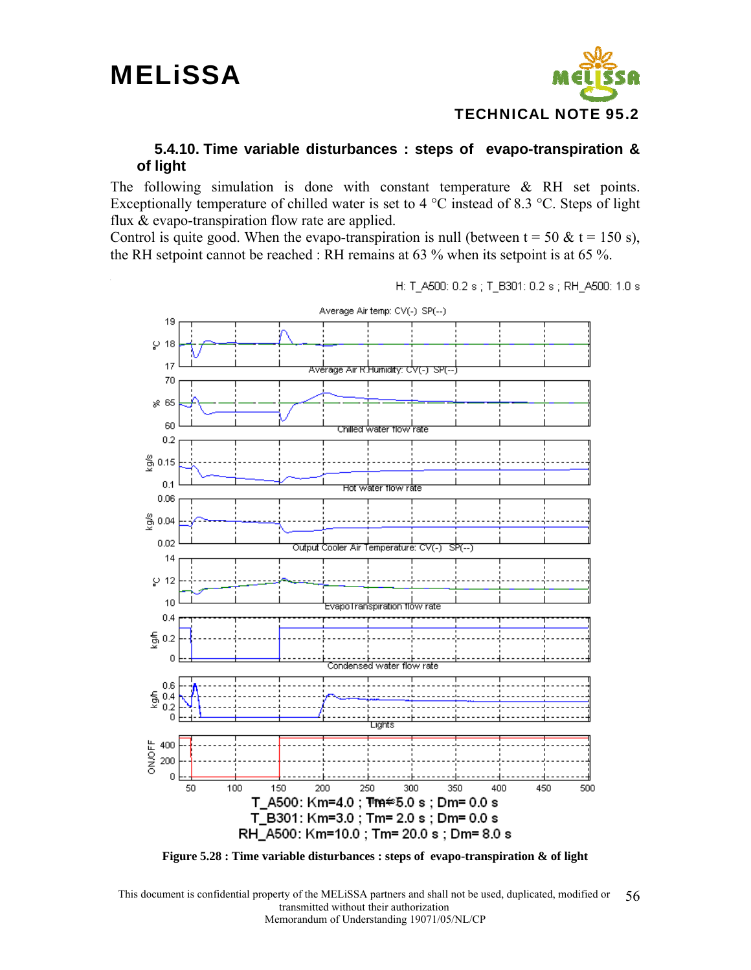![](_page_55_Picture_1.jpeg)

#### **5.4.10. Time variable disturbances : steps of evapo-transpiration & of light**

The following simulation is done with constant temperature & RH set points. Exceptionally temperature of chilled water is set to 4  $^{\circ}$ C instead of 8.3  $^{\circ}$ C. Steps of light flux & evapo-transpiration flow rate are applied.

Control is quite good. When the evapo-transpiration is null (between  $t = 50 \& t = 150 \text{ s}$ ), the RH setpoint cannot be reached : RH remains at 63 % when its setpoint is at 65 %.

H: T\_A500: 0.2 s ; T\_B301: 0.2 s ; RH\_A500: 1.0 s

![](_page_55_Figure_6.jpeg)

**Figure 5.28 : Time variable disturbances : steps of evapo-transpiration & of light**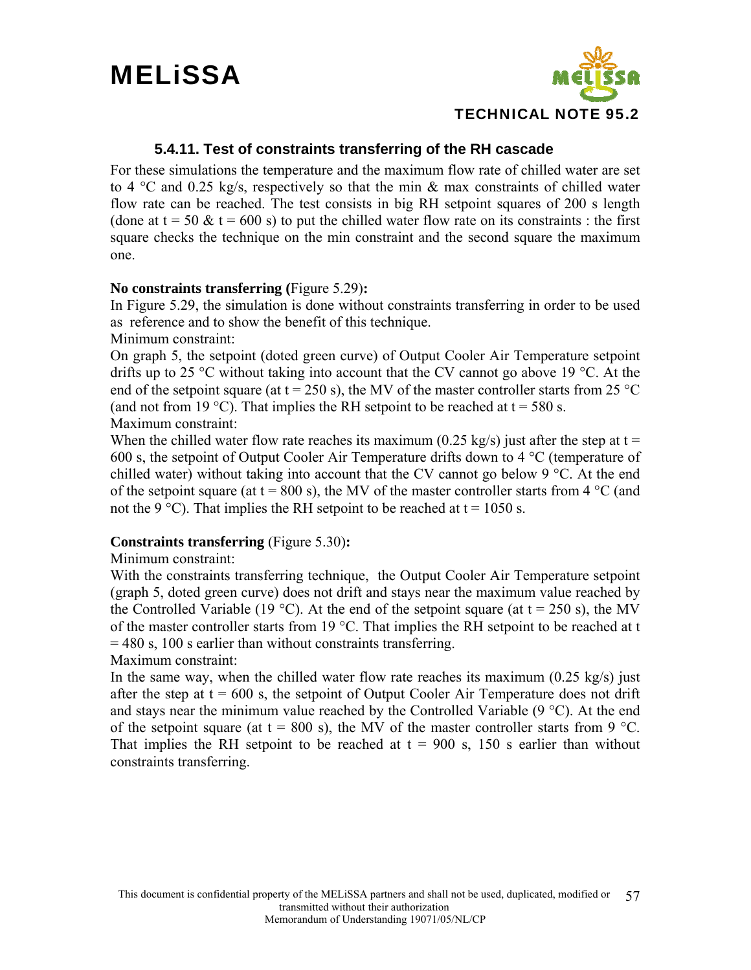![](_page_56_Picture_1.jpeg)

#### **5.4.11. Test of constraints transferring of the RH cascade**

For these simulations the temperature and the maximum flow rate of chilled water are set to 4  $\degree$ C and 0.25 kg/s, respectively so that the min & max constraints of chilled water flow rate can be reached. The test consists in big RH setpoint squares of 200 s length (done at  $t = 50 \& t = 600 \text{ s}$ ) to put the chilled water flow rate on its constraints : the first square checks the technique on the min constraint and the second square the maximum one.

#### **No constraints transferring (**Figure 5.29)**:**

In Figure 5.29, the simulation is done without constraints transferring in order to be used as reference and to show the benefit of this technique.

Minimum constraint:

On graph 5, the setpoint (doted green curve) of Output Cooler Air Temperature setpoint drifts up to 25 °C without taking into account that the CV cannot go above 19 °C. At the end of the setpoint square (at  $t = 250$  s), the MV of the master controller starts from 25 °C (and not from 19 °C). That implies the RH setpoint to be reached at  $t = 580$  s. Maximum constraint:

When the chilled water flow rate reaches its maximum (0.25 kg/s) just after the step at  $t =$ 600 s, the setpoint of Output Cooler Air Temperature drifts down to 4 °C (temperature of chilled water) without taking into account that the CV cannot go below 9  $\degree$ C. At the end of the setpoint square (at  $t = 800$  s), the MV of the master controller starts from 4 °C (and not the 9 °C). That implies the RH setpoint to be reached at  $t = 1050$  s.

#### **Constraints transferring** (Figure 5.30)**:**

#### Minimum constraint:

With the constraints transferring technique, the Output Cooler Air Temperature setpoint (graph 5, doted green curve) does not drift and stays near the maximum value reached by the Controlled Variable (19 °C). At the end of the setpoint square (at  $t = 250$  s), the MV of the master controller starts from 19 °C. That implies the RH setpoint to be reached at t = 480 s, 100 s earlier than without constraints transferring.

#### Maximum constraint:

In the same way, when the chilled water flow rate reaches its maximum  $(0.25 \text{ kg/s})$  just after the step at  $t = 600$  s, the setpoint of Output Cooler Air Temperature does not drift and stays near the minimum value reached by the Controlled Variable (9 °C). At the end of the setpoint square (at  $t = 800$  s), the MV of the master controller starts from 9 °C. That implies the RH setpoint to be reached at  $t = 900$  s, 150 s earlier than without constraints transferring.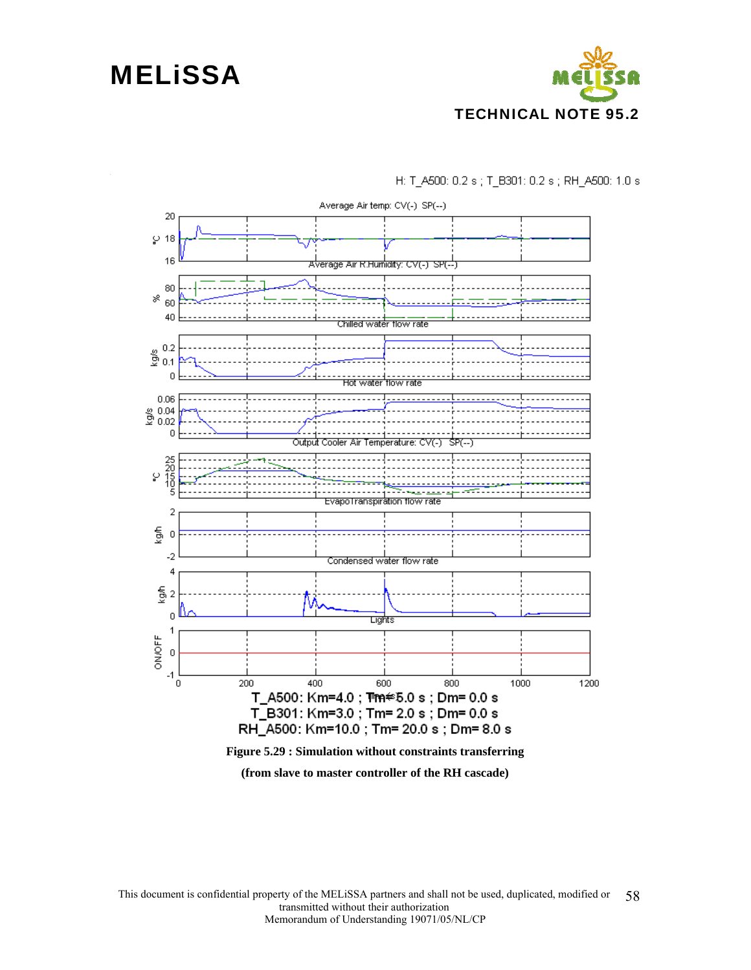### **MELISSA**

![](_page_57_Picture_1.jpeg)

H: T\_A500: 0.2 s; T\_B301: 0.2 s; RH\_A500: 1.0 s

![](_page_57_Figure_3.jpeg)

**(from slave to master controller of the RH cascade)**